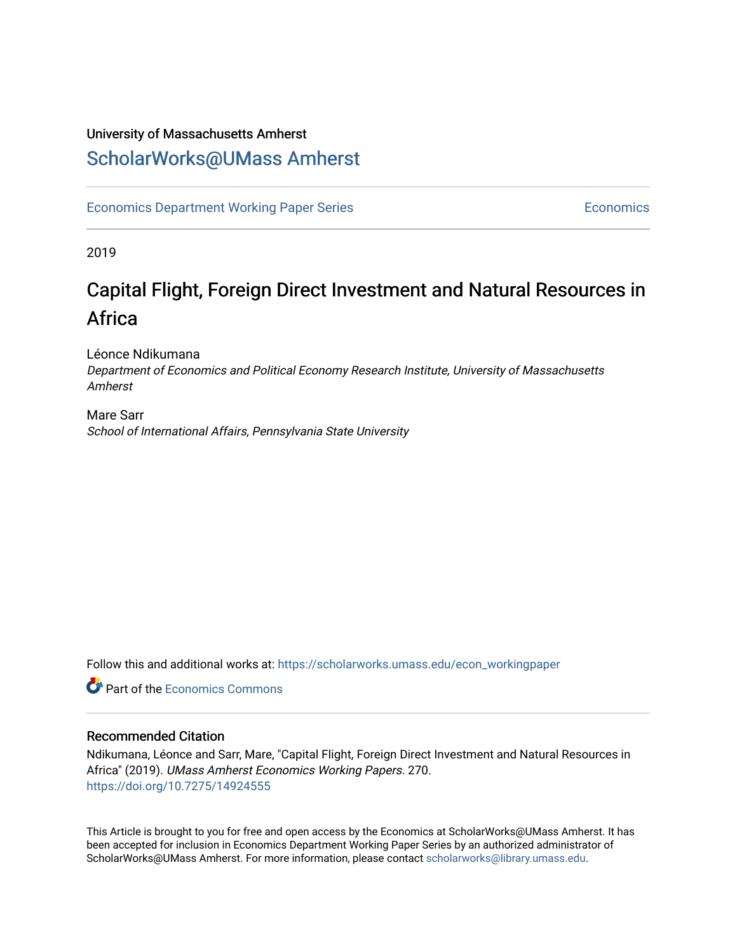# University of Massachusetts Amherst [ScholarWorks@UMass Amherst](https://scholarworks.umass.edu/)

[Economics Department Working Paper Series](https://scholarworks.umass.edu/econ_workingpaper) **Economics** [Economics](https://scholarworks.umass.edu/economics) Economics

2019

# Capital Flight, Foreign Direct Investment and Natural Resources in Africa

Léonce Ndikumana Department of Economics and Political Economy Research Institute, University of Massachusetts Amherst

Mare Sarr School of International Affairs, Pennsylvania State University

Follow this and additional works at: [https://scholarworks.umass.edu/econ\\_workingpaper](https://scholarworks.umass.edu/econ_workingpaper?utm_source=scholarworks.umass.edu%2Fecon_workingpaper%2F270&utm_medium=PDF&utm_campaign=PDFCoverPages) 

**C** Part of the [Economics Commons](http://network.bepress.com/hgg/discipline/340?utm_source=scholarworks.umass.edu%2Fecon_workingpaper%2F270&utm_medium=PDF&utm_campaign=PDFCoverPages)

## Recommended Citation

Ndikumana, Léonce and Sarr, Mare, "Capital Flight, Foreign Direct Investment and Natural Resources in Africa" (2019). UMass Amherst Economics Working Papers. 270. <https://doi.org/10.7275/14924555>

This Article is brought to you for free and open access by the Economics at ScholarWorks@UMass Amherst. It has been accepted for inclusion in Economics Department Working Paper Series by an authorized administrator of ScholarWorks@UMass Amherst. For more information, please contact [scholarworks@library.umass.edu.](mailto:scholarworks@library.umass.edu)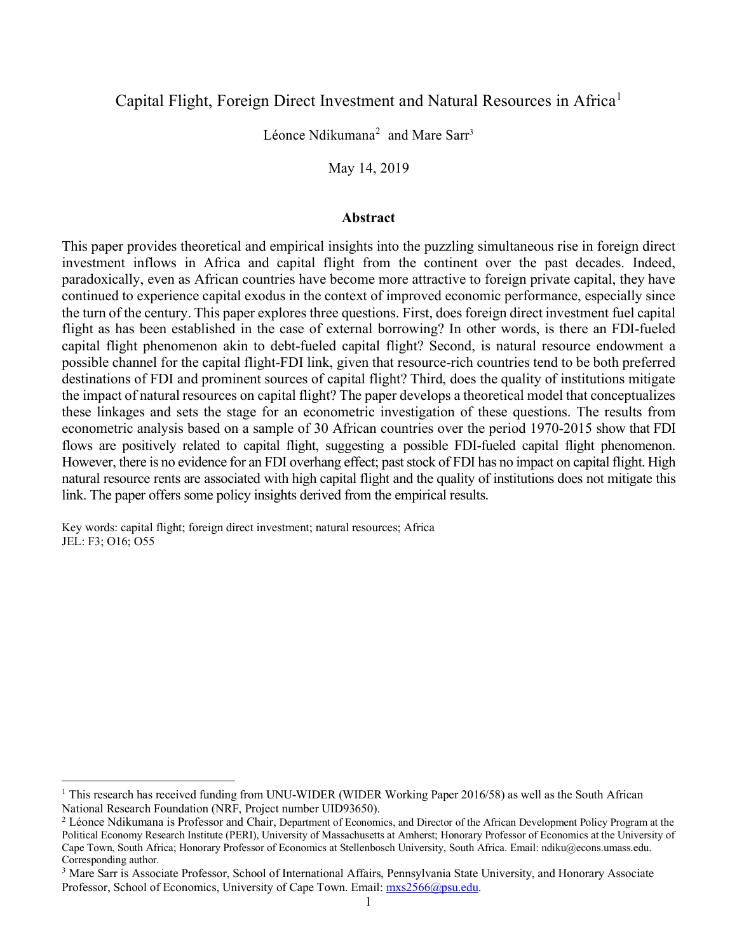# Capital Flight, Foreign Direct Investment and Natural Resources in Africa<sup>1</sup>

Léonce Ndikumana<sup>2</sup> and Mare Sarr<sup>3</sup>

May 14, 2019

#### **Abstract**

This paper provides theoretical and empirical insights into the puzzling simultaneous rise in foreign direct investment inflows in Africa and capital flight from the continent over the past decades. Indeed, paradoxically, even as African countries have become more attractive to foreign private capital, they have continued to experience capital exodus in the context of improved economic performance, especially since the turn of the century. This paper explores three questions. First, does foreign direct investment fuel capital flight as has been established in the case of external borrowing? In other words, is there an FDI-fueled capital flight phenomenon akin to debt-fueled capital flight? Second, is natural resource endowment a possible channel for the capital flight-FDI link, given that resource-rich countries tend to be both preferred destinations of FDI and prominent sources of capital flight? Third, does the quality of institutions mitigate the impact of natural resources on capital flight? The paper develops a theoretical model that conceptualizes these linkages and sets the stage for an econometric investigation of these questions. The results from econometric analysis based on a sample of 30 African countries over the period 1970-2015 show that FDI flows are positively related to capital flight, suggesting a possible FDI-fueled capital flight phenomenon. However, there is no evidence for an FDI overhang effect; past stock of FDI has no impact on capital flight. High natural resource rents are associated with high capital flight and the quality of institutions does not mitigate this link. The paper offers some policy insights derived from the empirical results.

Key words: capital flight; foreign direct investment; natural resources; Africa JEL: F3; O16; O55

<sup>&</sup>lt;sup>1</sup> This research has received funding from UNU-WIDER (WIDER Working Paper 2016/58) as well as the South African National Research Foundation (NRF, Project number UID93650).

<sup>&</sup>lt;sup>2</sup> Léonce Ndikumana is Professor and Chair, Department of Economics, and Director of the African Development Policy Program at the Political Economy Research Institute (PERI), University of Massachusetts at Amherst; Honorary Professor of Economics at the University of Cape Town, South Africa; Honorary Professor of Economics at Stellenbosch University, South Africa. Email: ndiku@econs.umass.edu. Corresponding author.

<sup>3</sup> Mare Sarr is Associate Professor, School of International Affairs, Pennsylvania State University, and Honorary Associate Professor, School of Economics, University of Cape Town. Email: mxs2566@psu.edu.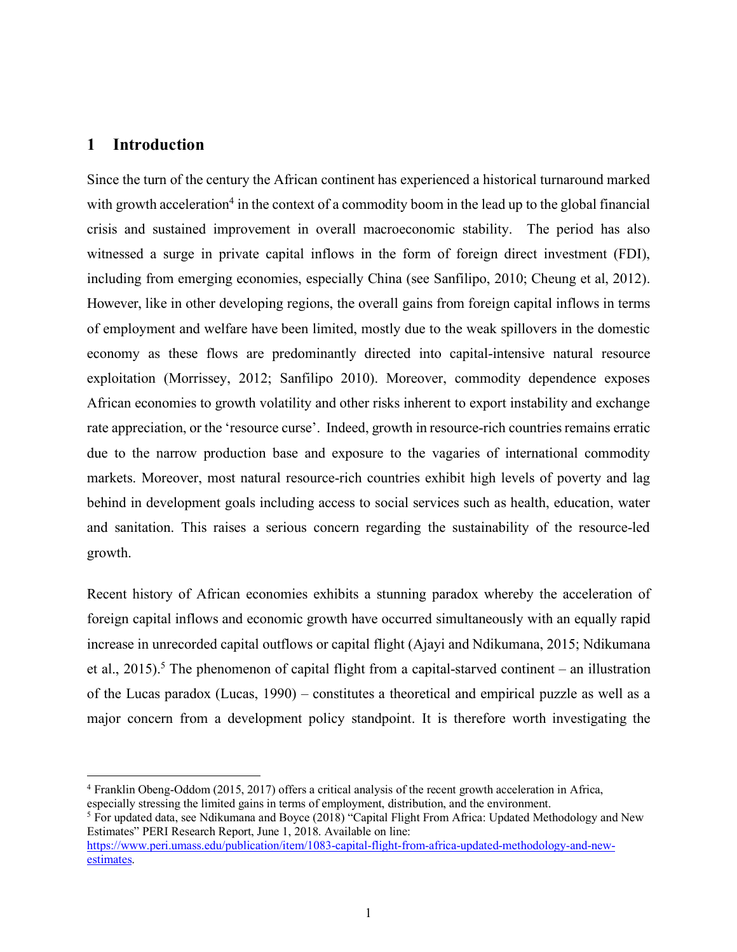# **1 Introduction**

Since the turn of the century the African continent has experienced a historical turnaround marked with growth acceleration<sup>4</sup> in the context of a commodity boom in the lead up to the global financial crisis and sustained improvement in overall macroeconomic stability. The period has also witnessed a surge in private capital inflows in the form of foreign direct investment (FDI), including from emerging economies, especially China (see Sanfilipo, 2010; Cheung et al, 2012). However, like in other developing regions, the overall gains from foreign capital inflows in terms of employment and welfare have been limited, mostly due to the weak spillovers in the domestic economy as these flows are predominantly directed into capital-intensive natural resource exploitation (Morrissey, 2012; Sanfilipo 2010). Moreover, commodity dependence exposes African economies to growth volatility and other risks inherent to export instability and exchange rate appreciation, or the 'resource curse'. Indeed, growth in resource-rich countries remains erratic due to the narrow production base and exposure to the vagaries of international commodity markets. Moreover, most natural resource-rich countries exhibit high levels of poverty and lag behind in development goals including access to social services such as health, education, water and sanitation. This raises a serious concern regarding the sustainability of the resource-led growth.

Recent history of African economies exhibits a stunning paradox whereby the acceleration of foreign capital inflows and economic growth have occurred simultaneously with an equally rapid increase in unrecorded capital outflows or capital flight (Ajayi and Ndikumana, 2015; Ndikumana et al., 2015).<sup>5</sup> The phenomenon of capital flight from a capital-starved continent – an illustration of the Lucas paradox (Lucas, 1990) – constitutes a theoretical and empirical puzzle as well as a major concern from a development policy standpoint. It is therefore worth investigating the

 <sup>4</sup> Franklin Obeng-Oddom (2015, 2017) offers a critical analysis of the recent growth acceleration in Africa, especially stressing the limited gains in terms of employment, distribution, and the environment.

<sup>5</sup> For updated data, see Ndikumana and Boyce (2018) "Capital Flight From Africa: Updated Methodology and New Estimates" PERI Research Report, June 1, 2018. Available on line:

https://www.peri.umass.edu/publication/item/1083-capital-flight-from-africa-updated-methodology-and-newestimates.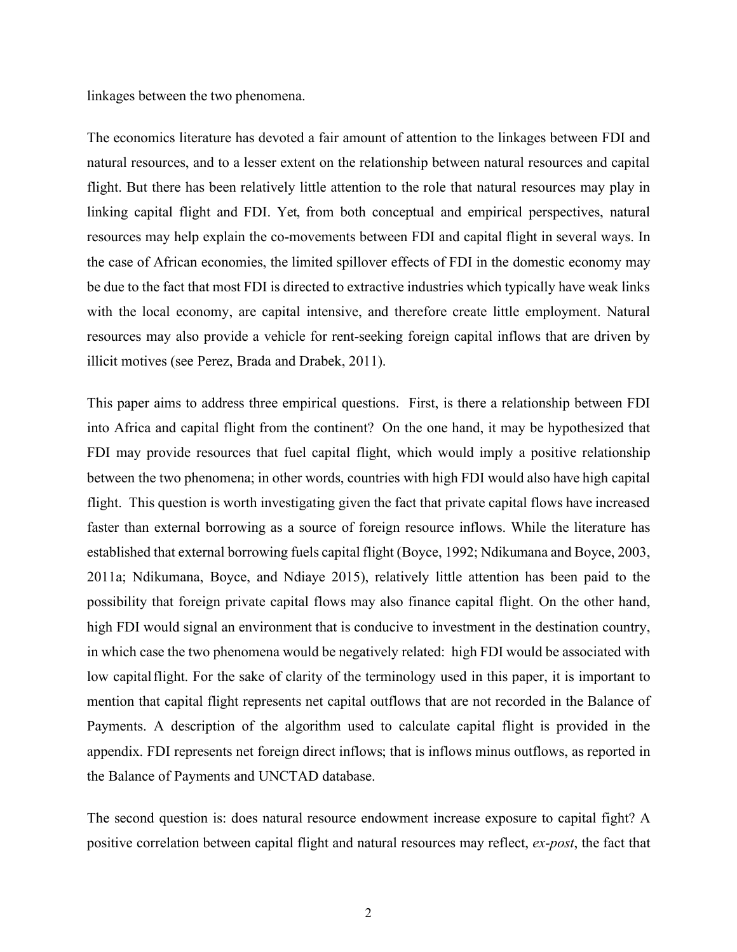linkages between the two phenomena.

The economics literature has devoted a fair amount of attention to the linkages between FDI and natural resources, and to a lesser extent on the relationship between natural resources and capital flight. But there has been relatively little attention to the role that natural resources may play in linking capital flight and FDI. Yet, from both conceptual and empirical perspectives, natural resources may help explain the co-movements between FDI and capital flight in several ways. In the case of African economies, the limited spillover effects of FDI in the domestic economy may be due to the fact that most FDI is directed to extractive industries which typically have weak links with the local economy, are capital intensive, and therefore create little employment. Natural resources may also provide a vehicle for rent-seeking foreign capital inflows that are driven by illicit motives (see Perez, Brada and Drabek, 2011).

This paper aims to address three empirical questions. First, is there a relationship between FDI into Africa and capital flight from the continent? On the one hand, it may be hypothesized that FDI may provide resources that fuel capital flight, which would imply a positive relationship between the two phenomena; in other words, countries with high FDI would also have high capital flight. This question is worth investigating given the fact that private capital flows have increased faster than external borrowing as a source of foreign resource inflows. While the literature has established that external borrowing fuels capital flight (Boyce, 1992; Ndikumana and Boyce, 2003, 2011a; Ndikumana, Boyce, and Ndiaye 2015), relatively little attention has been paid to the possibility that foreign private capital flows may also finance capital flight. On the other hand, high FDI would signal an environment that is conducive to investment in the destination country, in which case the two phenomena would be negatively related: high FDI would be associated with low capitalflight. For the sake of clarity of the terminology used in this paper, it is important to mention that capital flight represents net capital outflows that are not recorded in the Balance of Payments. A description of the algorithm used to calculate capital flight is provided in the appendix. FDI represents net foreign direct inflows; that is inflows minus outflows, as reported in the Balance of Payments and UNCTAD database.

The second question is: does natural resource endowment increase exposure to capital fight? A positive correlation between capital flight and natural resources may reflect, *ex-post*, the fact that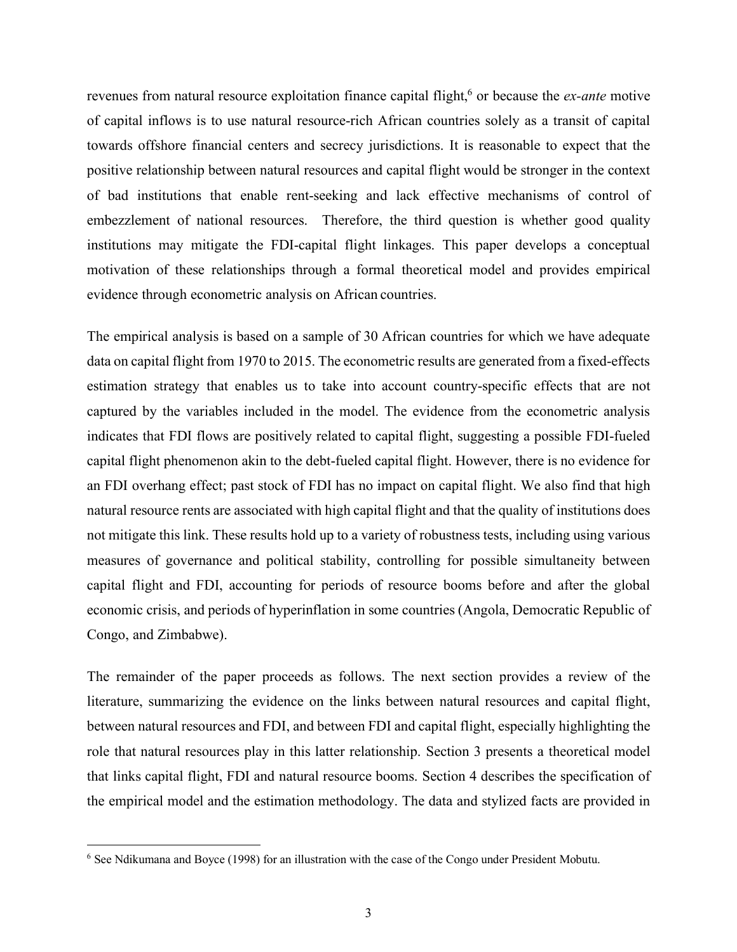revenues from natural resource exploitation finance capital flight,<sup>6</sup> or because the *ex-ante* motive of capital inflows is to use natural resource-rich African countries solely as a transit of capital towards offshore financial centers and secrecy jurisdictions. It is reasonable to expect that the positive relationship between natural resources and capital flight would be stronger in the context of bad institutions that enable rent-seeking and lack effective mechanisms of control of embezzlement of national resources. Therefore, the third question is whether good quality institutions may mitigate the FDI-capital flight linkages. This paper develops a conceptual motivation of these relationships through a formal theoretical model and provides empirical evidence through econometric analysis on African countries.

The empirical analysis is based on a sample of 30 African countries for which we have adequate data on capital flight from 1970 to 2015. The econometric results are generated from a fixed-effects estimation strategy that enables us to take into account country-specific effects that are not captured by the variables included in the model. The evidence from the econometric analysis indicates that FDI flows are positively related to capital flight, suggesting a possible FDI-fueled capital flight phenomenon akin to the debt-fueled capital flight. However, there is no evidence for an FDI overhang effect; past stock of FDI has no impact on capital flight. We also find that high natural resource rents are associated with high capital flight and that the quality of institutions does not mitigate this link. These results hold up to a variety of robustness tests, including using various measures of governance and political stability, controlling for possible simultaneity between capital flight and FDI, accounting for periods of resource booms before and after the global economic crisis, and periods of hyperinflation in some countries (Angola, Democratic Republic of Congo, and Zimbabwe).

The remainder of the paper proceeds as follows. The next section provides a review of the literature, summarizing the evidence on the links between natural resources and capital flight, between natural resources and FDI, and between FDI and capital flight, especially highlighting the role that natural resources play in this latter relationship. Section 3 presents a theoretical model that links capital flight, FDI and natural resource booms. Section 4 describes the specification of the empirical model and the estimation methodology. The data and stylized facts are provided in

 <sup>6</sup> See Ndikumana and Boyce (1998) for an illustration with the case of the Congo under President Mobutu.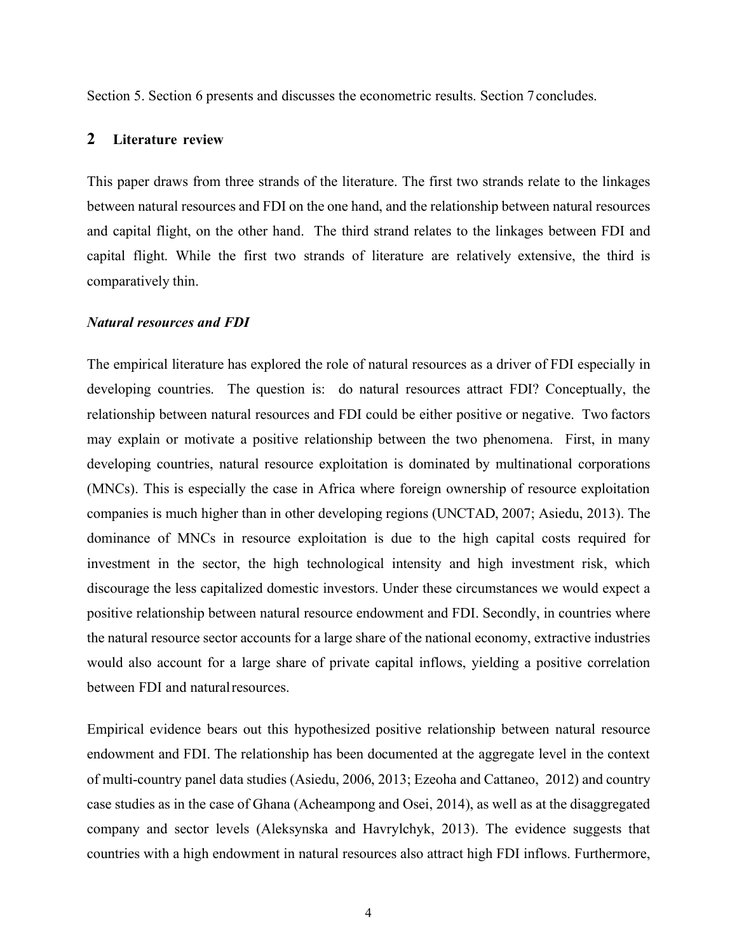Section 5. Section 6 presents and discusses the econometric results. Section 7concludes.

# **2 Literature review**

This paper draws from three strands of the literature. The first two strands relate to the linkages between natural resources and FDI on the one hand, and the relationship between natural resources and capital flight, on the other hand. The third strand relates to the linkages between FDI and capital flight. While the first two strands of literature are relatively extensive, the third is comparatively thin.

#### *Natural resources and FDI*

The empirical literature has explored the role of natural resources as a driver of FDI especially in developing countries. The question is: do natural resources attract FDI? Conceptually, the relationship between natural resources and FDI could be either positive or negative. Two factors may explain or motivate a positive relationship between the two phenomena. First, in many developing countries, natural resource exploitation is dominated by multinational corporations (MNCs). This is especially the case in Africa where foreign ownership of resource exploitation companies is much higher than in other developing regions (UNCTAD, 2007; Asiedu, 2013). The dominance of MNCs in resource exploitation is due to the high capital costs required for investment in the sector, the high technological intensity and high investment risk, which discourage the less capitalized domestic investors. Under these circumstances we would expect a positive relationship between natural resource endowment and FDI. Secondly, in countries where the natural resource sector accounts for a large share of the national economy, extractive industries would also account for a large share of private capital inflows, yielding a positive correlation between FDI and natural resources.

Empirical evidence bears out this hypothesized positive relationship between natural resource endowment and FDI. The relationship has been documented at the aggregate level in the context of multi-country panel data studies (Asiedu, 2006, 2013; Ezeoha and Cattaneo, 2012) and country case studies as in the case of Ghana (Acheampong and Osei, 2014), as well as at the disaggregated company and sector levels (Aleksynska and Havrylchyk, 2013). The evidence suggests that countries with a high endowment in natural resources also attract high FDI inflows. Furthermore,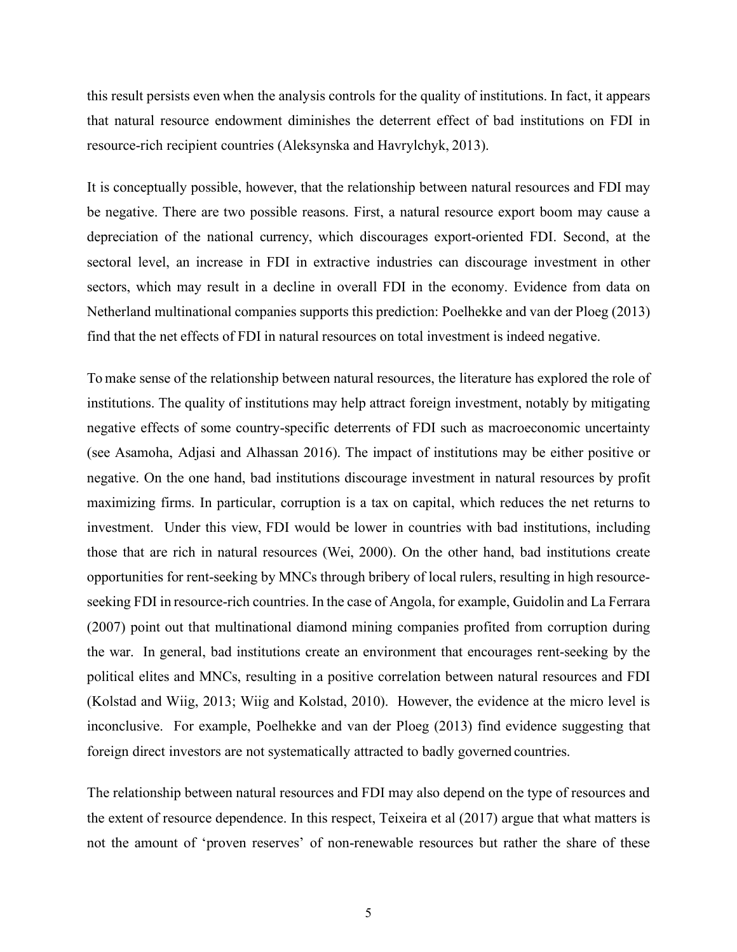this result persists even when the analysis controls for the quality of institutions. In fact, it appears that natural resource endowment diminishes the deterrent effect of bad institutions on FDI in resource-rich recipient countries (Aleksynska and Havrylchyk, 2013).

It is conceptually possible, however, that the relationship between natural resources and FDI may be negative. There are two possible reasons. First, a natural resource export boom may cause a depreciation of the national currency, which discourages export-oriented FDI. Second, at the sectoral level, an increase in FDI in extractive industries can discourage investment in other sectors, which may result in a decline in overall FDI in the economy. Evidence from data on Netherland multinational companies supports this prediction: Poelhekke and van der Ploeg (2013) find that the net effects of FDI in natural resources on total investment is indeed negative.

To make sense of the relationship between natural resources, the literature has explored the role of institutions. The quality of institutions may help attract foreign investment, notably by mitigating negative effects of some country-specific deterrents of FDI such as macroeconomic uncertainty (see Asamoha, Adjasi and Alhassan 2016). The impact of institutions may be either positive or negative. On the one hand, bad institutions discourage investment in natural resources by profit maximizing firms. In particular, corruption is a tax on capital, which reduces the net returns to investment. Under this view, FDI would be lower in countries with bad institutions, including those that are rich in natural resources (Wei, 2000). On the other hand, bad institutions create opportunities for rent-seeking by MNCs through bribery of local rulers, resulting in high resourceseeking FDI in resource-rich countries. In the case of Angola, for example, Guidolin and La Ferrara (2007) point out that multinational diamond mining companies profited from corruption during the war. In general, bad institutions create an environment that encourages rent-seeking by the political elites and MNCs, resulting in a positive correlation between natural resources and FDI (Kolstad and Wiig, 2013; Wiig and Kolstad, 2010). However, the evidence at the micro level is inconclusive. For example, Poelhekke and van der Ploeg (2013) find evidence suggesting that foreign direct investors are not systematically attracted to badly governed countries.

The relationship between natural resources and FDI may also depend on the type of resources and the extent of resource dependence. In this respect, Teixeira et al (2017) argue that what matters is not the amount of 'proven reserves' of non-renewable resources but rather the share of these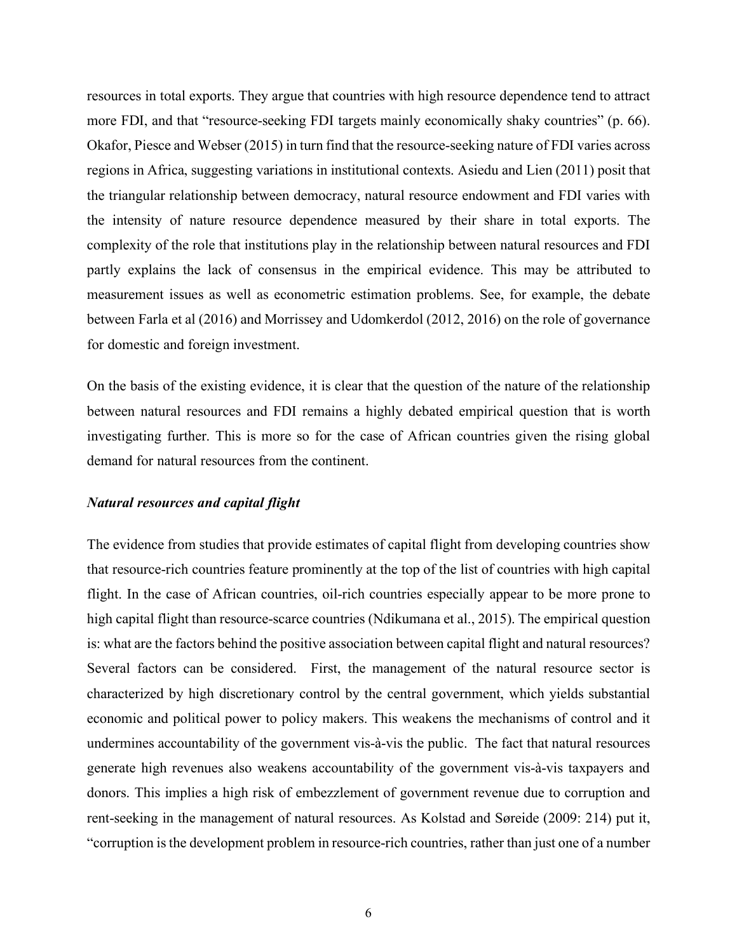resources in total exports. They argue that countries with high resource dependence tend to attract more FDI, and that "resource-seeking FDI targets mainly economically shaky countries" (p. 66). Okafor, Piesce and Webser (2015) in turn find that the resource-seeking nature of FDI varies across regions in Africa, suggesting variations in institutional contexts. Asiedu and Lien (2011) posit that the triangular relationship between democracy, natural resource endowment and FDI varies with the intensity of nature resource dependence measured by their share in total exports. The complexity of the role that institutions play in the relationship between natural resources and FDI partly explains the lack of consensus in the empirical evidence. This may be attributed to measurement issues as well as econometric estimation problems. See, for example, the debate between Farla et al (2016) and Morrissey and Udomkerdol (2012, 2016) on the role of governance for domestic and foreign investment.

On the basis of the existing evidence, it is clear that the question of the nature of the relationship between natural resources and FDI remains a highly debated empirical question that is worth investigating further. This is more so for the case of African countries given the rising global demand for natural resources from the continent.

#### *Natural resources and capital flight*

The evidence from studies that provide estimates of capital flight from developing countries show that resource-rich countries feature prominently at the top of the list of countries with high capital flight. In the case of African countries, oil-rich countries especially appear to be more prone to high capital flight than resource-scarce countries (Ndikumana et al., 2015). The empirical question is: what are the factors behind the positive association between capital flight and natural resources? Several factors can be considered. First, the management of the natural resource sector is characterized by high discretionary control by the central government, which yields substantial economic and political power to policy makers. This weakens the mechanisms of control and it undermines accountability of the government vis-à-vis the public. The fact that natural resources generate high revenues also weakens accountability of the government vis-à-vis taxpayers and donors. This implies a high risk of embezzlement of government revenue due to corruption and rent-seeking in the management of natural resources. As Kolstad and Søreide (2009: 214) put it, "corruption is the development problem in resource-rich countries, rather than just one of a number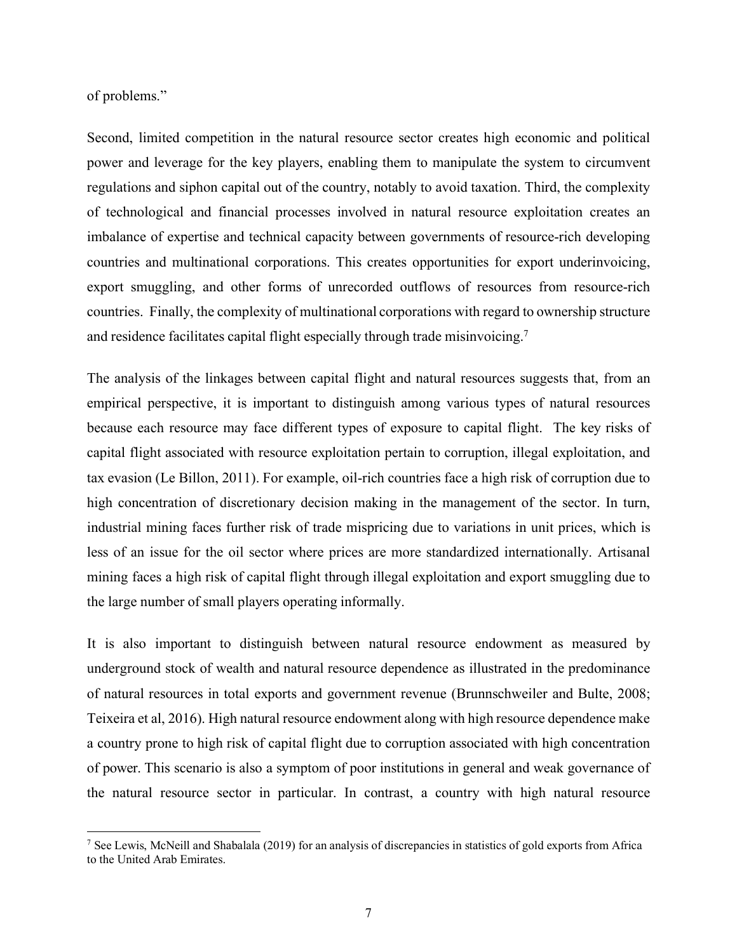of problems."

Second, limited competition in the natural resource sector creates high economic and political power and leverage for the key players, enabling them to manipulate the system to circumvent regulations and siphon capital out of the country, notably to avoid taxation. Third, the complexity of technological and financial processes involved in natural resource exploitation creates an imbalance of expertise and technical capacity between governments of resource-rich developing countries and multinational corporations. This creates opportunities for export underinvoicing, export smuggling, and other forms of unrecorded outflows of resources from resource-rich countries. Finally, the complexity of multinational corporations with regard to ownership structure and residence facilitates capital flight especially through trade misinvoicing.<sup>7</sup>

The analysis of the linkages between capital flight and natural resources suggests that, from an empirical perspective, it is important to distinguish among various types of natural resources because each resource may face different types of exposure to capital flight. The key risks of capital flight associated with resource exploitation pertain to corruption, illegal exploitation, and tax evasion (Le Billon, 2011). For example, oil-rich countries face a high risk of corruption due to high concentration of discretionary decision making in the management of the sector. In turn, industrial mining faces further risk of trade mispricing due to variations in unit prices, which is less of an issue for the oil sector where prices are more standardized internationally. Artisanal mining faces a high risk of capital flight through illegal exploitation and export smuggling due to the large number of small players operating informally.

It is also important to distinguish between natural resource endowment as measured by underground stock of wealth and natural resource dependence as illustrated in the predominance of natural resources in total exports and government revenue (Brunnschweiler and Bulte, 2008; Teixeira et al, 2016). High natural resource endowment along with high resource dependence make a country prone to high risk of capital flight due to corruption associated with high concentration of power. This scenario is also a symptom of poor institutions in general and weak governance of the natural resource sector in particular. In contrast, a country with high natural resource

 <sup>7</sup> See Lewis, McNeill and Shabalala (2019) for an analysis of discrepancies in statistics of gold exports from Africa to the United Arab Emirates.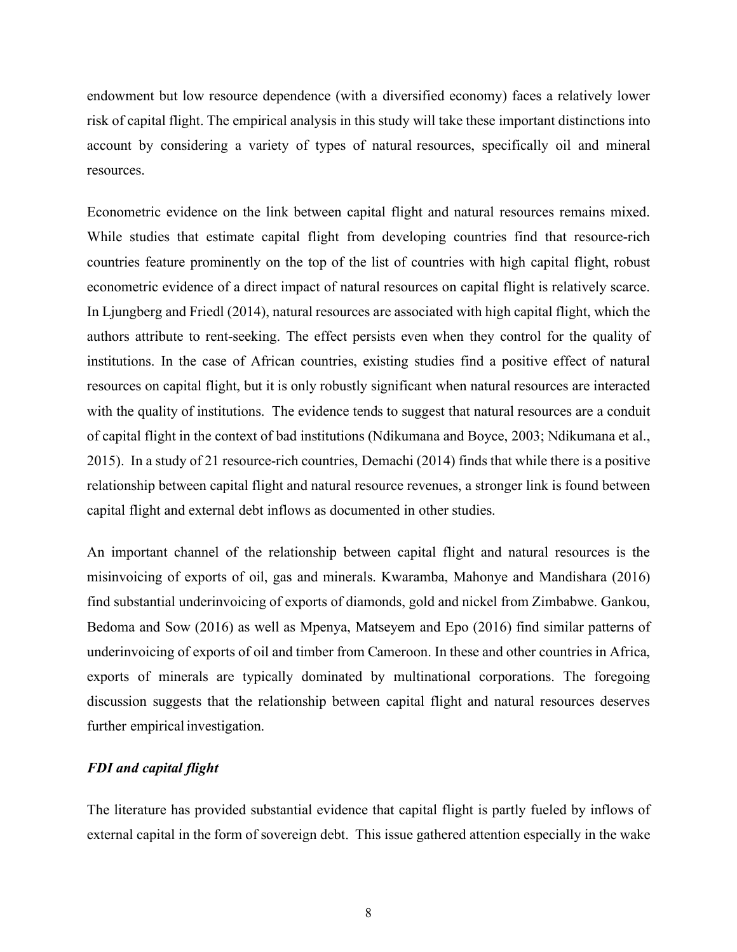endowment but low resource dependence (with a diversified economy) faces a relatively lower risk of capital flight. The empirical analysis in this study will take these important distinctions into account by considering a variety of types of natural resources, specifically oil and mineral resources.

Econometric evidence on the link between capital flight and natural resources remains mixed. While studies that estimate capital flight from developing countries find that resource-rich countries feature prominently on the top of the list of countries with high capital flight, robust econometric evidence of a direct impact of natural resources on capital flight is relatively scarce. In Ljungberg and Friedl (2014), natural resources are associated with high capital flight, which the authors attribute to rent-seeking. The effect persists even when they control for the quality of institutions. In the case of African countries, existing studies find a positive effect of natural resources on capital flight, but it is only robustly significant when natural resources are interacted with the quality of institutions. The evidence tends to suggest that natural resources are a conduit of capital flight in the context of bad institutions (Ndikumana and Boyce, 2003; Ndikumana et al., 2015). In a study of 21 resource-rich countries, Demachi (2014) finds that while there is a positive relationship between capital flight and natural resource revenues, a stronger link is found between capital flight and external debt inflows as documented in other studies.

An important channel of the relationship between capital flight and natural resources is the misinvoicing of exports of oil, gas and minerals. Kwaramba, Mahonye and Mandishara (2016) find substantial underinvoicing of exports of diamonds, gold and nickel from Zimbabwe. Gankou, Bedoma and Sow (2016) as well as Mpenya, Matseyem and Epo (2016) find similar patterns of underinvoicing of exports of oil and timber from Cameroon. In these and other countries in Africa, exports of minerals are typically dominated by multinational corporations. The foregoing discussion suggests that the relationship between capital flight and natural resources deserves further empirical investigation.

## *FDI and capital flight*

The literature has provided substantial evidence that capital flight is partly fueled by inflows of external capital in the form of sovereign debt. This issue gathered attention especially in the wake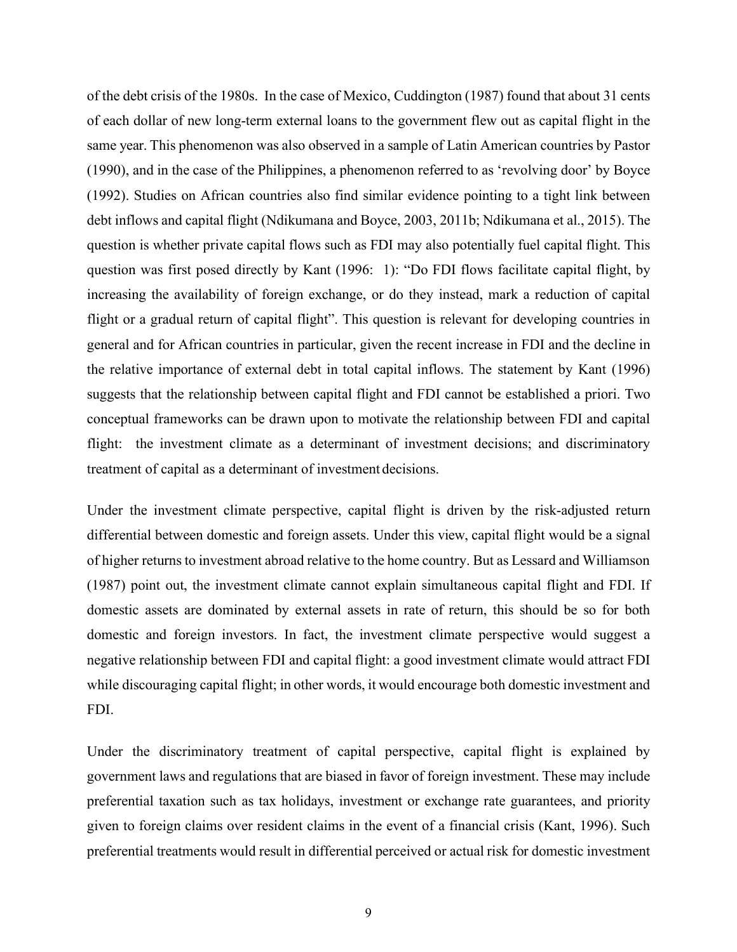of the debt crisis of the 1980s. In the case of Mexico, Cuddington (1987) found that about 31 cents of each dollar of new long-term external loans to the government flew out as capital flight in the same year. This phenomenon was also observed in a sample of Latin American countries by Pastor (1990), and in the case of the Philippines, a phenomenon referred to as 'revolving door' by Boyce (1992). Studies on African countries also find similar evidence pointing to a tight link between debt inflows and capital flight (Ndikumana and Boyce, 2003, 2011b; Ndikumana et al., 2015). The question is whether private capital flows such as FDI may also potentially fuel capital flight. This question was first posed directly by Kant (1996: 1): "Do FDI flows facilitate capital flight, by increasing the availability of foreign exchange, or do they instead, mark a reduction of capital flight or a gradual return of capital flight". This question is relevant for developing countries in general and for African countries in particular, given the recent increase in FDI and the decline in the relative importance of external debt in total capital inflows. The statement by Kant (1996) suggests that the relationship between capital flight and FDI cannot be established a priori. Two conceptual frameworks can be drawn upon to motivate the relationship between FDI and capital flight: the investment climate as a determinant of investment decisions; and discriminatory treatment of capital as a determinant of investment decisions.

Under the investment climate perspective, capital flight is driven by the risk-adjusted return differential between domestic and foreign assets. Under this view, capital flight would be a signal of higher returns to investment abroad relative to the home country. But as Lessard and Williamson (1987) point out, the investment climate cannot explain simultaneous capital flight and FDI. If domestic assets are dominated by external assets in rate of return, this should be so for both domestic and foreign investors. In fact, the investment climate perspective would suggest a negative relationship between FDI and capital flight: a good investment climate would attract FDI while discouraging capital flight; in other words, it would encourage both domestic investment and FDI.

Under the discriminatory treatment of capital perspective, capital flight is explained by government laws and regulations that are biased in favor of foreign investment. These may include preferential taxation such as tax holidays, investment or exchange rate guarantees, and priority given to foreign claims over resident claims in the event of a financial crisis (Kant, 1996). Such preferential treatments would result in differential perceived or actual risk for domestic investment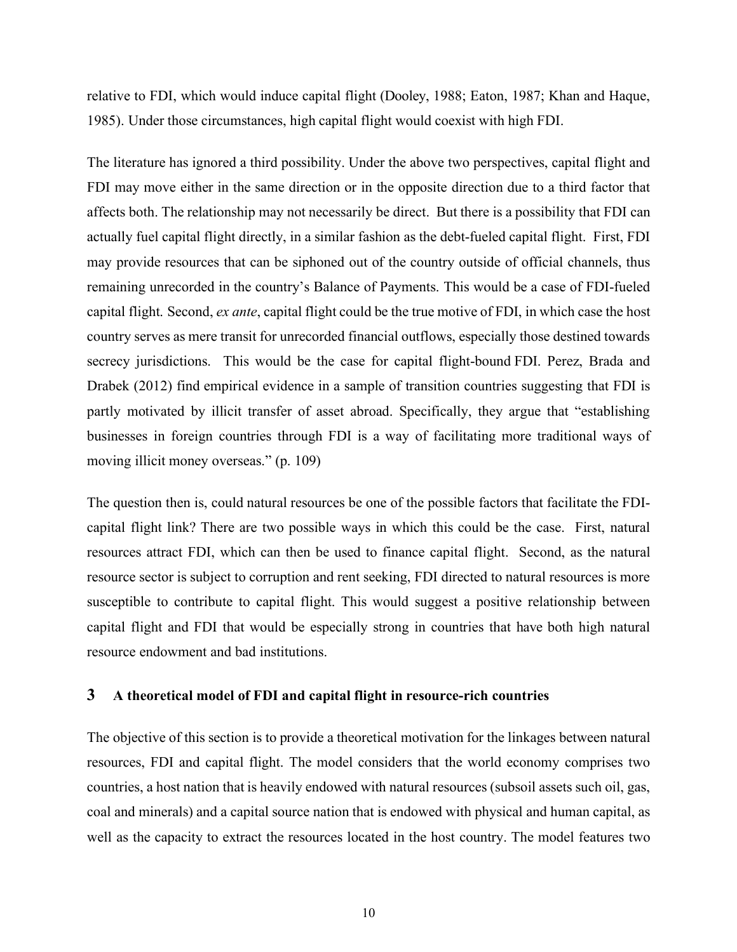relative to FDI, which would induce capital flight (Dooley, 1988; Eaton, 1987; Khan and Haque, 1985). Under those circumstances, high capital flight would coexist with high FDI.

The literature has ignored a third possibility. Under the above two perspectives, capital flight and FDI may move either in the same direction or in the opposite direction due to a third factor that affects both. The relationship may not necessarily be direct. But there is a possibility that FDI can actually fuel capital flight directly, in a similar fashion as the debt-fueled capital flight. First, FDI may provide resources that can be siphoned out of the country outside of official channels, thus remaining unrecorded in the country's Balance of Payments. This would be a case of FDI-fueled capital flight. Second, *ex ante*, capital flight could be the true motive of FDI, in which case the host country serves as mere transit for unrecorded financial outflows, especially those destined towards secrecy jurisdictions. This would be the case for capital flight-bound FDI. Perez, Brada and Drabek (2012) find empirical evidence in a sample of transition countries suggesting that FDI is partly motivated by illicit transfer of asset abroad. Specifically, they argue that "establishing businesses in foreign countries through FDI is a way of facilitating more traditional ways of moving illicit money overseas." (p. 109)

The question then is, could natural resources be one of the possible factors that facilitate the FDIcapital flight link? There are two possible ways in which this could be the case. First, natural resources attract FDI, which can then be used to finance capital flight. Second, as the natural resource sector is subject to corruption and rent seeking, FDI directed to natural resources is more susceptible to contribute to capital flight. This would suggest a positive relationship between capital flight and FDI that would be especially strong in countries that have both high natural resource endowment and bad institutions.

#### **3 A theoretical model of FDI and capital flight in resource-rich countries**

The objective of this section is to provide a theoretical motivation for the linkages between natural resources, FDI and capital flight. The model considers that the world economy comprises two countries, a host nation that is heavily endowed with natural resources (subsoil assets such oil, gas, coal and minerals) and a capital source nation that is endowed with physical and human capital, as well as the capacity to extract the resources located in the host country. The model features two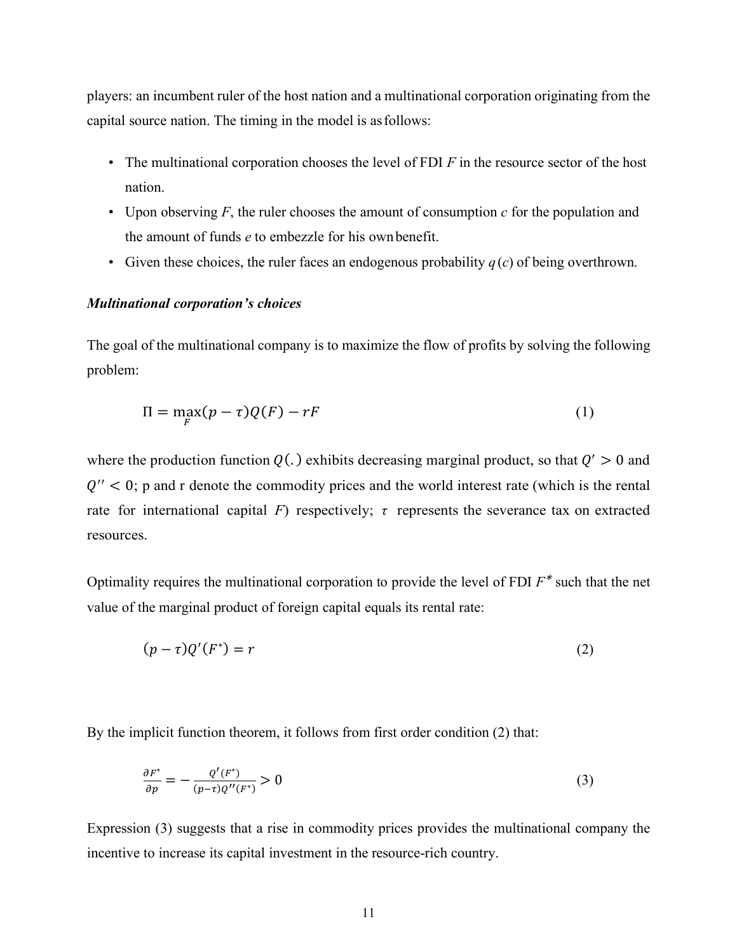players: an incumbent ruler of the host nation and a multinational corporation originating from the capital source nation. The timing in the model is asfollows:

- The multinational corporation chooses the level of FDI *F* in the resource sector of the host nation.
- Upon observing  $F$ , the ruler chooses the amount of consumption  $c$  for the population and the amount of funds *e* to embezzle for his ownbenefit.
- Given these choices, the ruler faces an endogenous probability  $q(c)$  of being overthrown.

#### *Multinational corporation's choices*

The goal of the multinational company is to maximize the flow of profits by solving the following problem:

$$
\Pi = \max_{F} (p - \tau)Q(F) - rF \tag{1}
$$

where the production function  $Q(.)$  exhibits decreasing marginal product, so that  $Q' > 0$  and  $Q'' < 0$ ; p and r denote the commodity prices and the world interest rate (which is the rental rate for international capital *F*) respectively;  $\tau$  represents the severance tax on extracted resources.

Optimality requires the multinational corporation to provide the level of FDI *F*<sup>∗</sup> such that the net value of the marginal product of foreign capital equals its rental rate:

$$
(p - \tau)Q'(F^*) = r \tag{2}
$$

By the implicit function theorem, it follows from first order condition (2) that:

$$
\frac{\partial F^*}{\partial p} = -\frac{Q'(F^*)}{(p-\tau)Q''(F^*)} > 0
$$
\n
$$
(3)
$$

Expression (3) suggests that a rise in commodity prices provides the multinational company the incentive to increase its capital investment in the resource-rich country.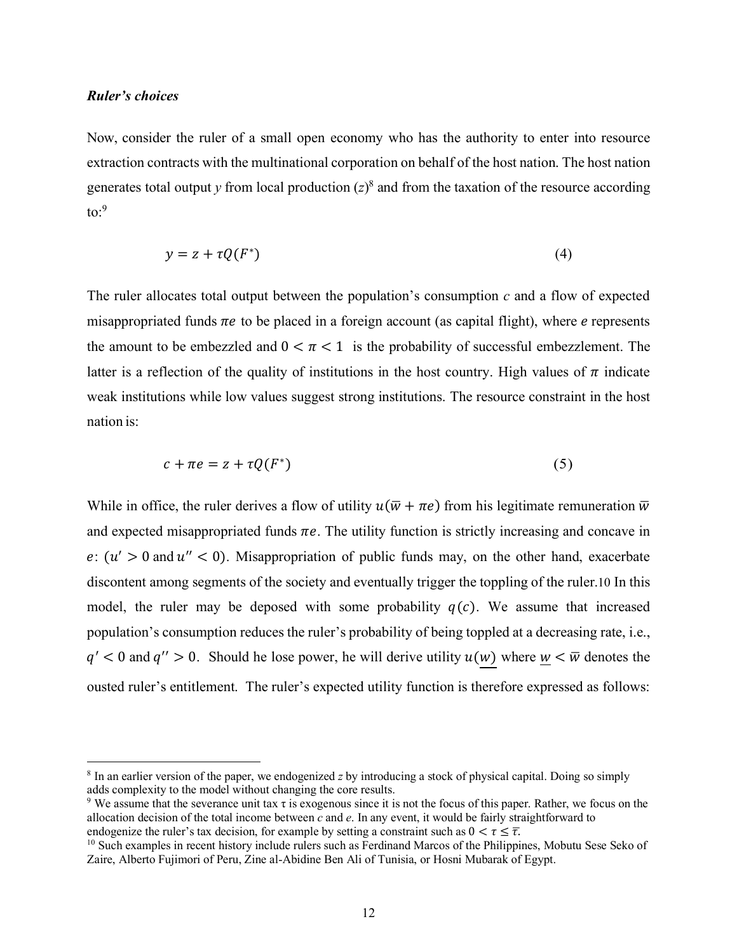#### *Ruler's choices*

Now, consider the ruler of a small open economy who has the authority to enter into resource extraction contracts with the multinational corporation on behalf of the host nation. The host nation generates total output *y* from local production  $(z)^8$  and from the taxation of the resource according  $to^{-9}$ 

$$
y = z + \tau Q(F^*)
$$
 (4)

The ruler allocates total output between the population's consumption *c* and a flow of expected misappropriated funds  $\pi e$  to be placed in a foreign account (as capital flight), where  $e$  represents the amount to be embezzled and  $0 < \pi < 1$  is the probability of successful embezzlement. The latter is a reflection of the quality of institutions in the host country. High values of  $\pi$  indicate weak institutions while low values suggest strong institutions. The resource constraint in the host nation is:

$$
c + \pi e = z + \tau Q(F^*)
$$
 (5)

While in office, the ruler derives a flow of utility  $u(\overline{w} + \pi e)$  from his legitimate remuneration  $\overline{w}$ and expected misappropriated funds  $\pi e$ . The utility function is strictly increasing and concave in e:  $(u' > 0$  and  $u'' < 0$ ). Misappropriation of public funds may, on the other hand, exacerbate discontent among segments of the society and eventually trigger the toppling of the ruler.10 In this model, the ruler may be deposed with some probability  $q(c)$ . We assume that increased population's consumption reduces the ruler's probability of being toppled at a decreasing rate, i.e.,  $q' < 0$  and  $q'' > 0$ . Should he lose power, he will derive utility  $u(w)$  where  $w < \overline{w}$  denotes the ousted ruler's entitlement. The ruler's expected utility function is therefore expressed as follows:

 <sup>8</sup> In an earlier version of the paper, we endogenized *z* by introducing a stock of physical capital. Doing so simply adds complexity to the model without changing the core results.

<sup>&</sup>lt;sup>9</sup> We assume that the severance unit tax  $\tau$  is exogenous since it is not the focus of this paper. Rather, we focus on the allocation decision of the total income between *c* and *e*. In any event, it would be fairly straightforward to endogenize the ruler's tax decision, for example by setting a constraint such as  $0 < \tau \leq \overline{\tau}$ .

<sup>&</sup>lt;sup>10</sup> Such examples in recent history include rulers such as Ferdinand Marcos of the Philippines, Mobutu Sese Seko of Zaire, Alberto Fujimori of Peru, Zine al-Abidine Ben Ali of Tunisia, or Hosni Mubarak of Egypt.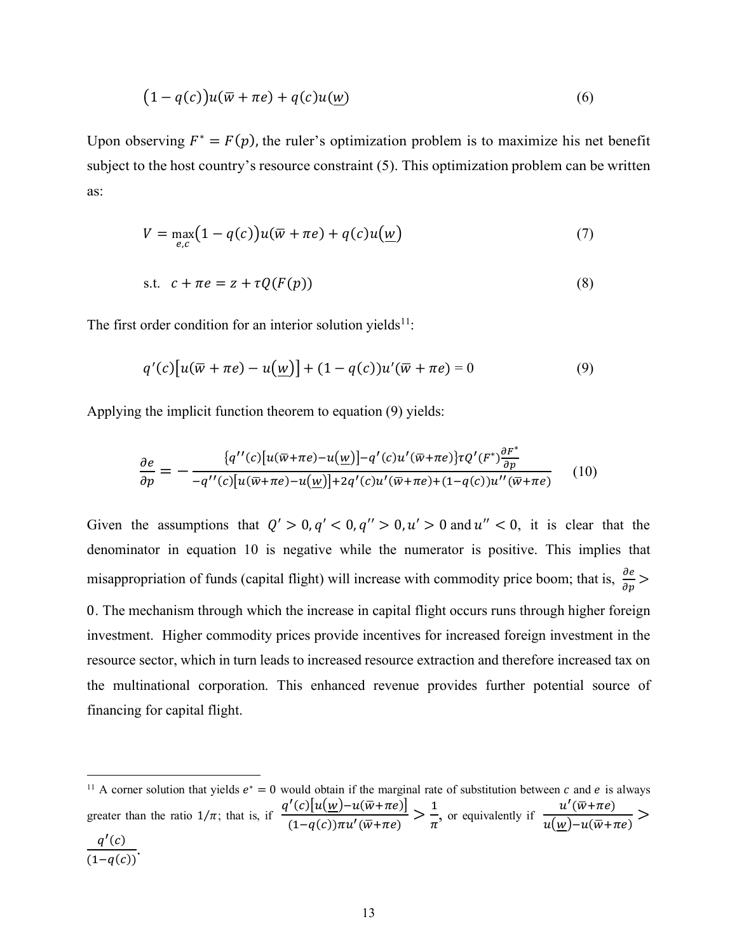$$
(1 - q(c))u(\overline{w} + \pi e) + q(c)u(\underline{w})
$$
\n<sup>(6)</sup>

Upon observing  $F^* = F(p)$ , the ruler's optimization problem is to maximize his net benefit subject to the host country's resource constraint (5). This optimization problem can be written as:

$$
V = \max_{e,c} \left(1 - q(c)\right) u(\overline{w} + \pi e) + q(c) u(\underline{w}) \tag{7}
$$

$$
s.t. \quad c + \pi e = z + \tau Q(F(p)) \tag{8}
$$

The first order condition for an interior solution yields<sup>11</sup>:

$$
q'(c)[u(\overline{w} + \pi e) - u(\underline{w})] + (1 - q(c))u'(\overline{w} + \pi e) = 0
$$
\n(9)

Applying the implicit function theorem to equation (9) yields:

$$
\frac{\partial e}{\partial p} = -\frac{\{q''(c)[u(\overline{w} + \pi e) - u(\underline{w})] - q'(c)u'(\overline{w} + \pi e)\} \tau Q'(F^*) \frac{\partial F^*}{\partial p}}{-q''(c)[u(\overline{w} + \pi e) - u(\underline{w})] + 2q'(c)u'(\overline{w} + \pi e) + (1 - q(c))u''(\overline{w} + \pi e)}
$$
(10)

Given the assumptions that  $Q' > 0, q' < 0, q'' > 0, u' > 0$  and  $u'' < 0$ , it is clear that the denominator in equation 10 is negative while the numerator is positive. This implies that misappropriation of funds (capital flight) will increase with commodity price boom; that is,  $\frac{\partial e}{\partial p}$  > 0. The mechanism through which the increase in capital flight occurs runs through higher foreign investment. Higher commodity prices provide incentives for increased foreign investment in the resource sector, which in turn leads to increased resource extraction and therefore increased tax on the multinational corporation. This enhanced revenue provides further potential source of financing for capital flight.

<sup>11</sup> A corner solution that yields  $e^* = 0$  would obtain if the marginal rate of substitution between c and e is always greater than the ratio  $1/\pi$ ; that is, if  $\frac{q'(c)[u(\underline{w})-u(\overline{w}+\pi e)]}{(1-q(c))\pi u'(\overline{w}+\pi e)} > \frac{1}{\pi}$  $\frac{1}{\pi}$ , or equivalently if  $\frac{u'(\overline{w}+\pi e)}{u(w)-u(\overline{w}+\pi e)}$  $q'(c)$  $\frac{q(c)}{(1-q(c))}$ .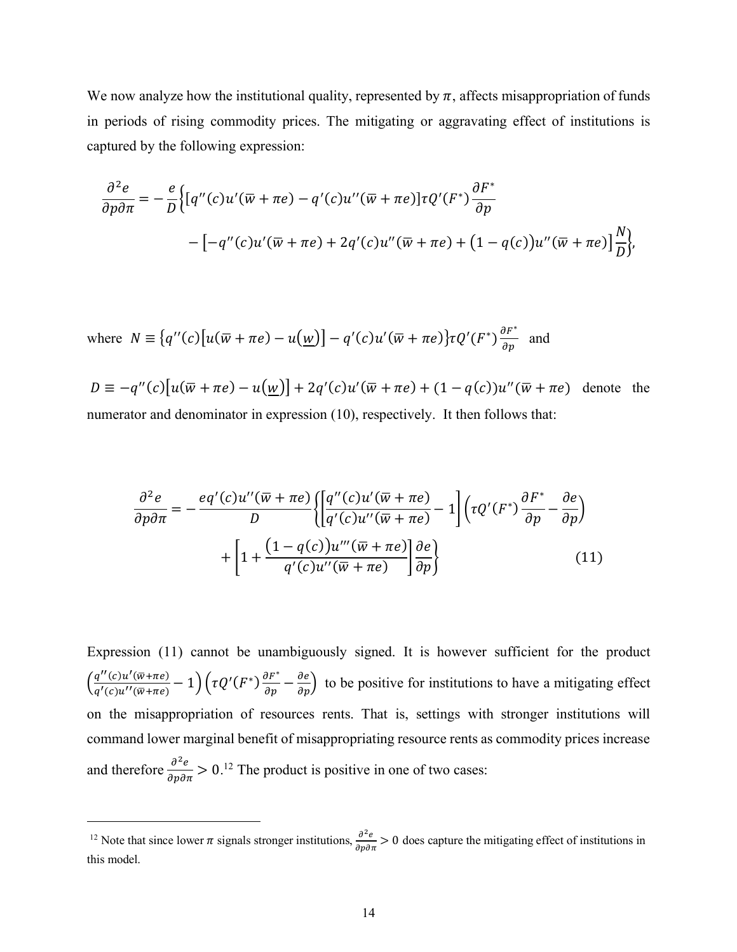We now analyze how the institutional quality, represented by  $\pi$ , affects misappropriation of funds in periods of rising commodity prices. The mitigating or aggravating effect of institutions is captured by the following expression:

$$
\frac{\partial^2 e}{\partial p \partial \pi} = -\frac{e}{D} \Big\{ \big[ q''(c) u'(\overline{w} + \pi e) - q'(c) u''(\overline{w} + \pi e) \big] \tau Q'(F^*) \frac{\partial F^*}{\partial p} - \big[ -q''(c) u'(\overline{w} + \pi e) + 2q'(c) u''(\overline{w} + \pi e) + \big( 1 - q(c) \big) u''(\overline{w} + \pi e) \big] \frac{N}{D} \Big\},
$$

where  $N = \left\{ q''(c) \left[ u(\overline{w} + \pi e) - u(\underline{w}) \right] - q'(c)u'(\overline{w} + \pi e) \right\} \tau Q'(F^*) \frac{\partial F^*}{\partial p}$  and

 $D \equiv -q''(c)[u(\bar{w} + \pi e) - u(w)] + 2q'(c)u'(\bar{w} + \pi e) + (1 - q(c))u''(\bar{w} + \pi e)$  denote the numerator and denominator in expression (10), respectively. It then follows that:

$$
\frac{\partial^2 e}{\partial p \partial \pi} = -\frac{eq'(c)u''(\overline{w} + \pi e)}{D} \left\{ \left[ \frac{q''(c)u'(\overline{w} + \pi e)}{q'(c)u''(\overline{w} + \pi e)} - 1 \right] \left( \tau Q'(F^*) \frac{\partial F^*}{\partial p} - \frac{\partial e}{\partial p} \right) \right. \\ \left. + \left[ 1 + \frac{(1 - q(c))u'''(\overline{w} + \pi e)}{q'(c)u''(\overline{w} + \pi e)} \right] \frac{\partial e}{\partial p} \right\} \tag{11}
$$

Expression (11) cannot be unambiguously signed. It is however sufficient for the product  $\left(\frac{q''(c)u'(\overline{w}+\pi e)}{q'(c)u''(\overline{w}+\pi e)}-1\right)\left(\tau Q'(F^*)\frac{\partial F^*}{\partial p}-\frac{\partial e}{\partial p}\right)$  to be positive for institutions to have a mitigating effect on the misappropriation of resources rents. That is, settings with stronger institutions will command lower marginal benefit of misappropriating resource rents as commodity prices increase and therefore  $\frac{\partial^2 e}{\partial p \partial \pi} > 0$ .<sup>12</sup> The product is positive in one of two cases:

 $\overline{a}$ 

<sup>&</sup>lt;sup>12</sup> Note that since lower  $\pi$  signals stronger institutions,  $\frac{\partial^2 e}{\partial p \partial \pi}$  > 0 does capture the mitigating effect of institutions in this model.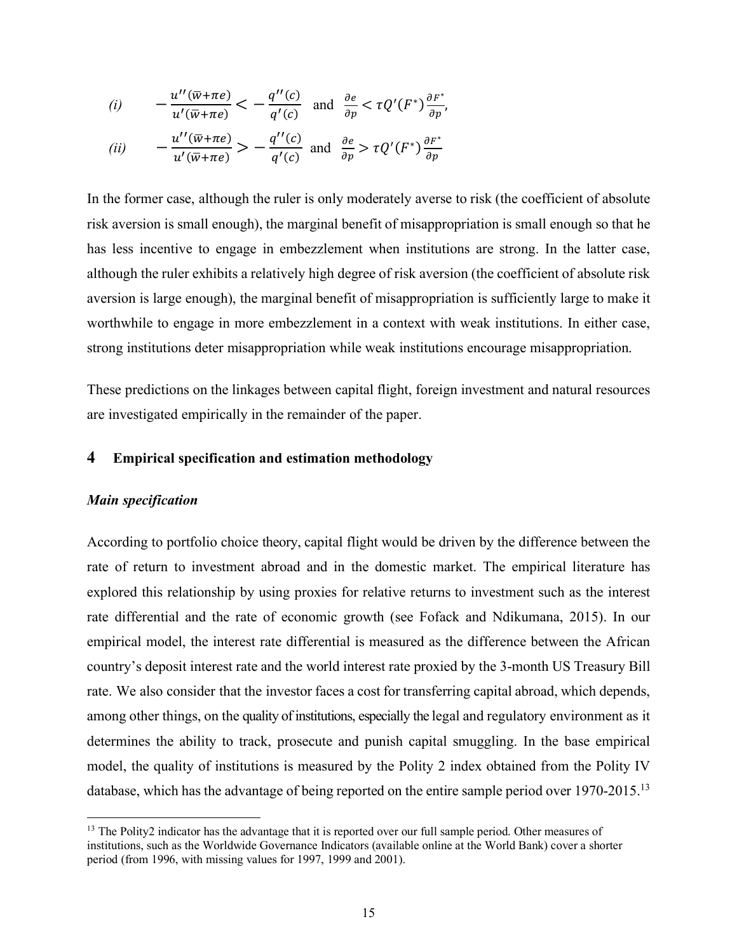(i) 
$$
-\frac{u''(\overline{w} + \pi e)}{u'(\overline{w} + \pi e)} < -\frac{q''(c)}{q'(c)}
$$
 and  $\frac{\partial e}{\partial p} < \tau Q'(F^*) \frac{\partial F^*}{\partial p}$ ,  
\n(ii)  $-\frac{u''(\overline{w} + \pi e)}{u'(\overline{w} + \pi e)} > -\frac{q''(c)}{q'(c)}$  and  $\frac{\partial e}{\partial p} > \tau Q'(F^*) \frac{\partial F^*}{\partial p}$ 

In the former case, although the ruler is only moderately averse to risk (the coefficient of absolute risk aversion is small enough), the marginal benefit of misappropriation is small enough so that he has less incentive to engage in embezzlement when institutions are strong. In the latter case, although the ruler exhibits a relatively high degree of risk aversion (the coefficient of absolute risk aversion is large enough), the marginal benefit of misappropriation is sufficiently large to make it worthwhile to engage in more embezzlement in a context with weak institutions. In either case, strong institutions deter misappropriation while weak institutions encourage misappropriation.

These predictions on the linkages between capital flight, foreign investment and natural resources are investigated empirically in the remainder of the paper.

#### **4 Empirical specification and estimation methodology**

#### *Main specification*

According to portfolio choice theory, capital flight would be driven by the difference between the rate of return to investment abroad and in the domestic market. The empirical literature has explored this relationship by using proxies for relative returns to investment such as the interest rate differential and the rate of economic growth (see Fofack and Ndikumana, 2015). In our empirical model, the interest rate differential is measured as the difference between the African country's deposit interest rate and the world interest rate proxied by the 3-month US Treasury Bill rate. We also consider that the investor faces a cost for transferring capital abroad, which depends, among other things, on the quality of institutions, especially the legal and regulatory environment as it determines the ability to track, prosecute and punish capital smuggling. In the base empirical model, the quality of institutions is measured by the Polity 2 index obtained from the Polity IV database, which has the advantage of being reported on the entire sample period over 1970-2015.<sup>13</sup>

<sup>&</sup>lt;sup>13</sup> The Polity2 indicator has the advantage that it is reported over our full sample period. Other measures of institutions, such as the Worldwide Governance Indicators (available online at the World Bank) cover a shorter period (from 1996, with missing values for 1997, 1999 and 2001).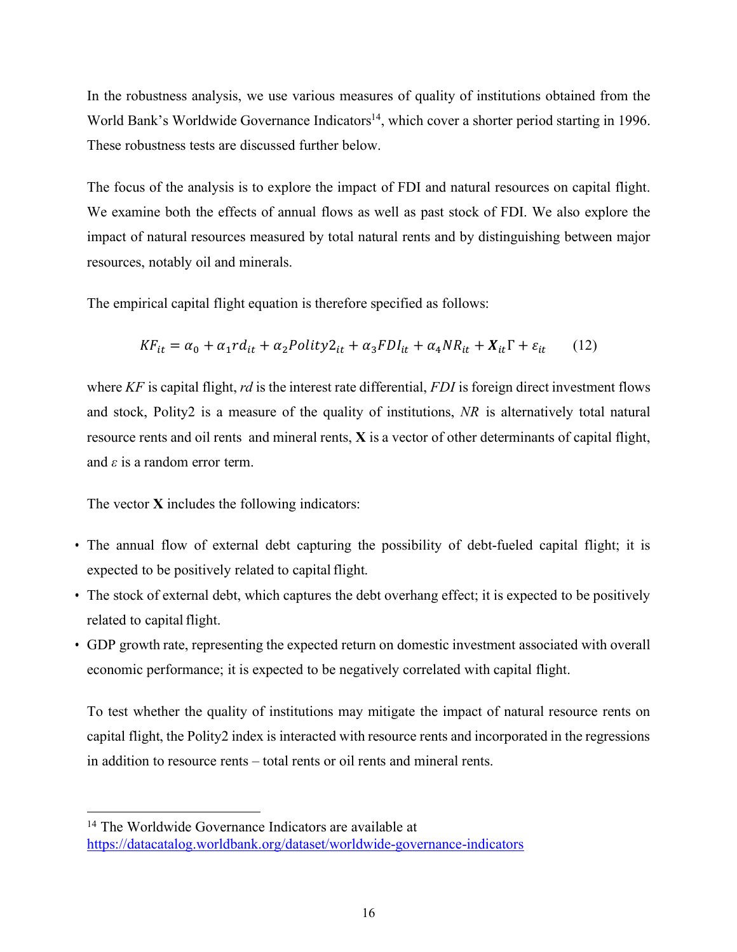In the robustness analysis, we use various measures of quality of institutions obtained from the World Bank's Worldwide Governance Indicators<sup>14</sup>, which cover a shorter period starting in 1996. These robustness tests are discussed further below.

The focus of the analysis is to explore the impact of FDI and natural resources on capital flight. We examine both the effects of annual flows as well as past stock of FDI. We also explore the impact of natural resources measured by total natural rents and by distinguishing between major resources, notably oil and minerals.

The empirical capital flight equation is therefore specified as follows:

$$
KF_{it} = \alpha_0 + \alpha_1 r d_{it} + \alpha_2 Polity2_{it} + \alpha_3 FDI_{it} + \alpha_4 NR_{it} + X_{it}\Gamma + \varepsilon_{it}
$$
 (12)

where *KF* is capital flight, *rd* is the interest rate differential, *FDI* is foreign direct investment flows and stock, Polity2 is a measure of the quality of institutions, *NR* is alternatively total natural resource rents and oil rents and mineral rents, **X** is a vector of other determinants of capital flight, and *ε* is a random error term.

The vector **X** includes the following indicators:

- The annual flow of external debt capturing the possibility of debt-fueled capital flight; it is expected to be positively related to capital flight.
- The stock of external debt, which captures the debt overhang effect; it is expected to be positively related to capital flight.
- *•* GDP growth rate, representing the expected return on domestic investment associated with overall economic performance; it is expected to be negatively correlated with capital flight.

To test whether the quality of institutions may mitigate the impact of natural resource rents on capital flight, the Polity2 index is interacted with resource rents and incorporated in the regressions in addition to resource rents – total rents or oil rents and mineral rents.

<sup>&</sup>lt;sup>14</sup> The Worldwide Governance Indicators are available at https://datacatalog.worldbank.org/dataset/worldwide-governance-indicators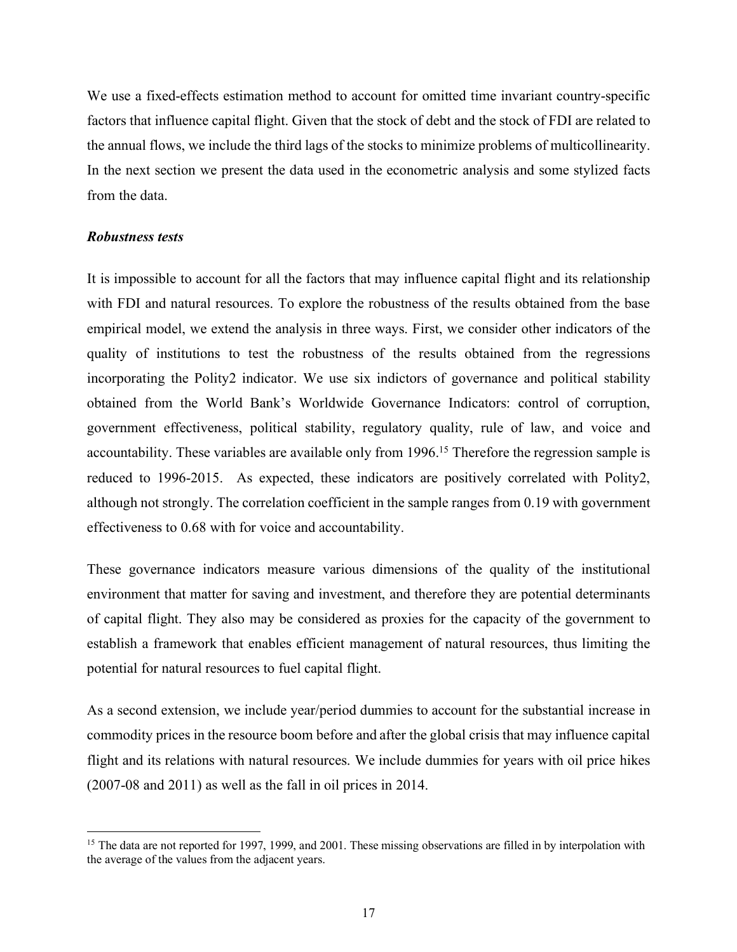We use a fixed-effects estimation method to account for omitted time invariant country-specific factors that influence capital flight. Given that the stock of debt and the stock of FDI are related to the annual flows, we include the third lags of the stocks to minimize problems of multicollinearity. In the next section we present the data used in the econometric analysis and some stylized facts from the data.

#### *Robustness tests*

It is impossible to account for all the factors that may influence capital flight and its relationship with FDI and natural resources. To explore the robustness of the results obtained from the base empirical model, we extend the analysis in three ways. First, we consider other indicators of the quality of institutions to test the robustness of the results obtained from the regressions incorporating the Polity2 indicator. We use six indictors of governance and political stability obtained from the World Bank's Worldwide Governance Indicators: control of corruption, government effectiveness, political stability, regulatory quality, rule of law, and voice and accountability. These variables are available only from 1996.<sup>15</sup> Therefore the regression sample is reduced to 1996-2015. As expected, these indicators are positively correlated with Polity2, although not strongly. The correlation coefficient in the sample ranges from 0.19 with government effectiveness to 0.68 with for voice and accountability.

These governance indicators measure various dimensions of the quality of the institutional environment that matter for saving and investment, and therefore they are potential determinants of capital flight. They also may be considered as proxies for the capacity of the government to establish a framework that enables efficient management of natural resources, thus limiting the potential for natural resources to fuel capital flight.

As a second extension, we include year/period dummies to account for the substantial increase in commodity prices in the resource boom before and after the global crisis that may influence capital flight and its relations with natural resources. We include dummies for years with oil price hikes (2007-08 and 2011) as well as the fall in oil prices in 2014.

<sup>&</sup>lt;sup>15</sup> The data are not reported for 1997, 1999, and 2001. These missing observations are filled in by interpolation with the average of the values from the adjacent years.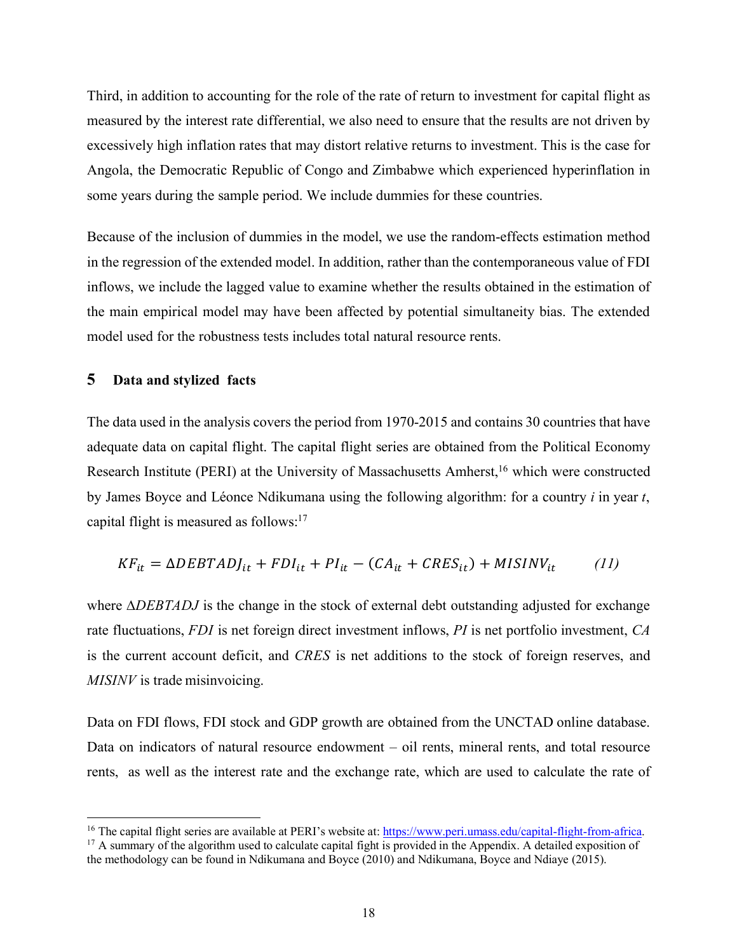Third, in addition to accounting for the role of the rate of return to investment for capital flight as measured by the interest rate differential, we also need to ensure that the results are not driven by excessively high inflation rates that may distort relative returns to investment. This is the case for Angola, the Democratic Republic of Congo and Zimbabwe which experienced hyperinflation in some years during the sample period. We include dummies for these countries.

Because of the inclusion of dummies in the model, we use the random-effects estimation method in the regression of the extended model. In addition, rather than the contemporaneous value of FDI inflows, we include the lagged value to examine whether the results obtained in the estimation of the main empirical model may have been affected by potential simultaneity bias. The extended model used for the robustness tests includes total natural resource rents.

#### **5 Data and stylized facts**

The data used in the analysis covers the period from 1970-2015 and contains 30 countries that have adequate data on capital flight. The capital flight series are obtained from the Political Economy Research Institute (PERI) at the University of Massachusetts Amherst,<sup>16</sup> which were constructed by James Boyce and Léonce Ndikumana using the following algorithm: for a country *i* in year *t*, capital flight is measured as follows:17

$$
KF_{it} = \Delta DEBTADJ_{it} + FDI_{it} + PI_{it} - (CA_{it} + CRES_{it}) + MISINV_{it} \tag{11}
$$

where ∆*DEBTADJ* is the change in the stock of external debt outstanding adjusted for exchange rate fluctuations, *FDI* is net foreign direct investment inflows, *PI* is net portfolio investment, *CA*  is the current account deficit, and *CRES* is net additions to the stock of foreign reserves, and *MISINV* is trade misinvoicing.

Data on FDI flows, FDI stock and GDP growth are obtained from the UNCTAD online database. Data on indicators of natural resource endowment – oil rents, mineral rents, and total resource rents, as well as the interest rate and the exchange rate, which are used to calculate the rate of

<sup>&</sup>lt;sup>16</sup> The capital flight series are available at PERI's website at:  $\frac{https://www.peri.umass.edu/capital-flight-from-affica.}{A summary of the algorithm used to calculate capital fight is provided in the Appendix. A detailed exposition of$ 

the methodology can be found in Ndikumana and Boyce (2010) and Ndikumana, Boyce and Ndiaye (2015).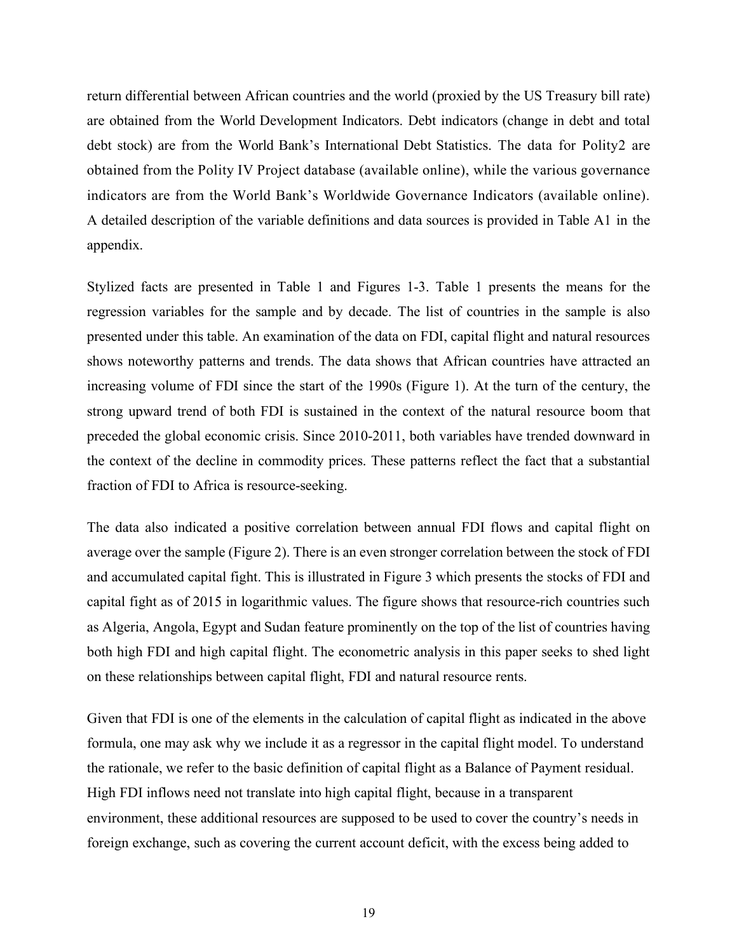return differential between African countries and the world (proxied by the US Treasury bill rate) are obtained from the World Development Indicators. Debt indicators (change in debt and total debt stock) are from the World Bank's International Debt Statistics. The data for Polity2 are obtained from the Polity IV Project database (available online), while the various governance indicators are from the World Bank's Worldwide Governance Indicators (available online). A detailed description of the variable definitions and data sources is provided in Table A1 in the appendix.

Stylized facts are presented in Table 1 and Figures 1-3. Table 1 presents the means for the regression variables for the sample and by decade. The list of countries in the sample is also presented under this table. An examination of the data on FDI, capital flight and natural resources shows noteworthy patterns and trends. The data shows that African countries have attracted an increasing volume of FDI since the start of the 1990s (Figure 1). At the turn of the century, the strong upward trend of both FDI is sustained in the context of the natural resource boom that preceded the global economic crisis. Since 2010-2011, both variables have trended downward in the context of the decline in commodity prices. These patterns reflect the fact that a substantial fraction of FDI to Africa is resource-seeking.

The data also indicated a positive correlation between annual FDI flows and capital flight on average over the sample (Figure 2). There is an even stronger correlation between the stock of FDI and accumulated capital fight. This is illustrated in Figure 3 which presents the stocks of FDI and capital fight as of 2015 in logarithmic values. The figure shows that resource-rich countries such as Algeria, Angola, Egypt and Sudan feature prominently on the top of the list of countries having both high FDI and high capital flight. The econometric analysis in this paper seeks to shed light on these relationships between capital flight, FDI and natural resource rents.

Given that FDI is one of the elements in the calculation of capital flight as indicated in the above formula, one may ask why we include it as a regressor in the capital flight model. To understand the rationale, we refer to the basic definition of capital flight as a Balance of Payment residual. High FDI inflows need not translate into high capital flight, because in a transparent environment, these additional resources are supposed to be used to cover the country's needs in foreign exchange, such as covering the current account deficit, with the excess being added to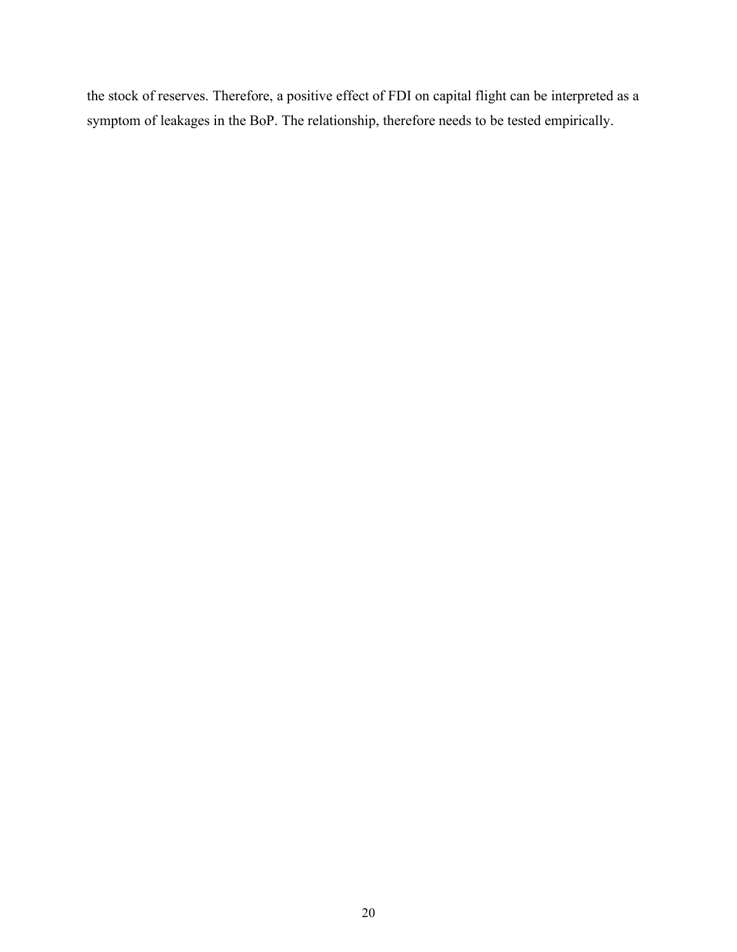the stock of reserves. Therefore, a positive effect of FDI on capital flight can be interpreted as a symptom of leakages in the BoP. The relationship, therefore needs to be tested empirically.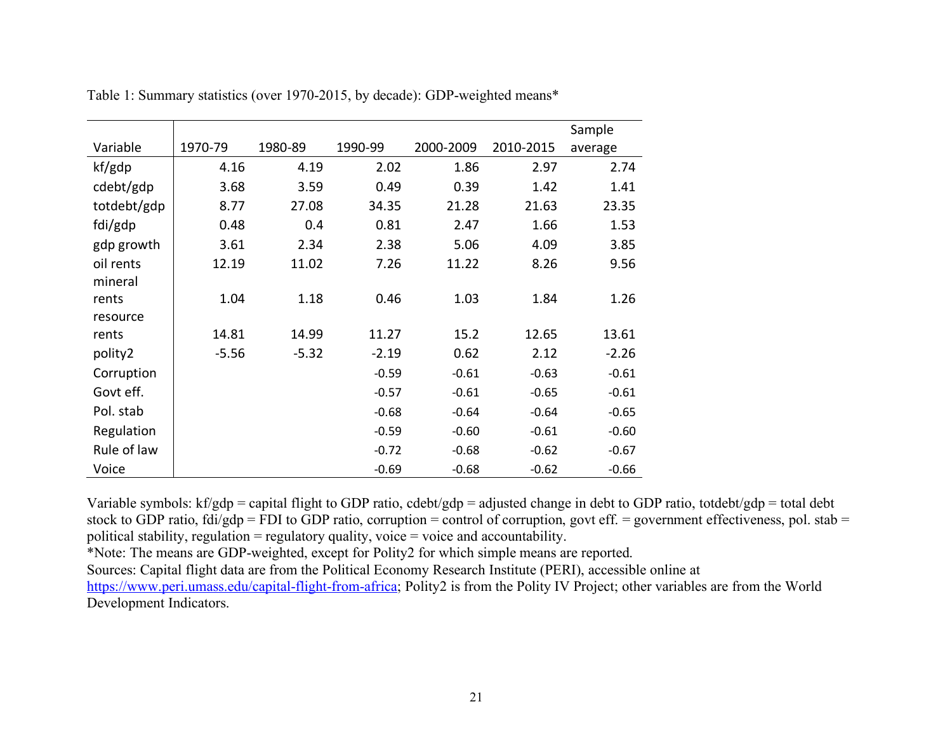|             |         |         |         |           |           | Sample  |
|-------------|---------|---------|---------|-----------|-----------|---------|
| Variable    | 1970-79 | 1980-89 | 1990-99 | 2000-2009 | 2010-2015 | average |
| kf/gdp      | 4.16    | 4.19    | 2.02    | 1.86      | 2.97      | 2.74    |
| cdebt/gdp   | 3.68    | 3.59    | 0.49    | 0.39      | 1.42      | 1.41    |
| totdebt/gdp | 8.77    | 27.08   | 34.35   | 21.28     | 21.63     | 23.35   |
| fdi/gdp     | 0.48    | 0.4     | 0.81    | 2.47      | 1.66      | 1.53    |
| gdp growth  | 3.61    | 2.34    | 2.38    | 5.06      | 4.09      | 3.85    |
| oil rents   | 12.19   | 11.02   | 7.26    | 11.22     | 8.26      | 9.56    |
| mineral     |         |         |         |           |           |         |
| rents       | 1.04    | 1.18    | 0.46    | 1.03      | 1.84      | 1.26    |
| resource    |         |         |         |           |           |         |
| rents       | 14.81   | 14.99   | 11.27   | 15.2      | 12.65     | 13.61   |
| polity2     | $-5.56$ | $-5.32$ | $-2.19$ | 0.62      | 2.12      | $-2.26$ |
| Corruption  |         |         | $-0.59$ | $-0.61$   | $-0.63$   | $-0.61$ |
| Govt eff.   |         |         | $-0.57$ | $-0.61$   | $-0.65$   | $-0.61$ |
| Pol. stab   |         |         | $-0.68$ | $-0.64$   | $-0.64$   | $-0.65$ |
| Regulation  |         |         | $-0.59$ | $-0.60$   | $-0.61$   | $-0.60$ |
| Rule of law |         |         | $-0.72$ | $-0.68$   | $-0.62$   | $-0.67$ |
| Voice       |         |         | $-0.69$ | $-0.68$   | $-0.62$   | $-0.66$ |

Table 1: Summary statistics (over 1970-2015, by decade): GDP-weighted means\*

Variable symbols: kf/gdp = capital flight to GDP ratio, cdebt/gdp = adjusted change in debt to GDP ratio, totdebt/gdp = total debt stock to GDP ratio, fdi/gdp = FDI to GDP ratio, corruption = control of corruption, govt eff. = government effectiveness, pol. stab = political stability, regulation = regulatory quality, voice = voice and accountability.

\*Note: The means are GDP-weighted, except for Polity2 for which simple means are reported.

Sources: Capital flight data are from the Political Economy Research Institute (PERI), accessible online at https://www.peri.umass.edu/capital-flight-from-africa; Polity2 is from the Polity IV Project; other variables are from the World Development Indicators.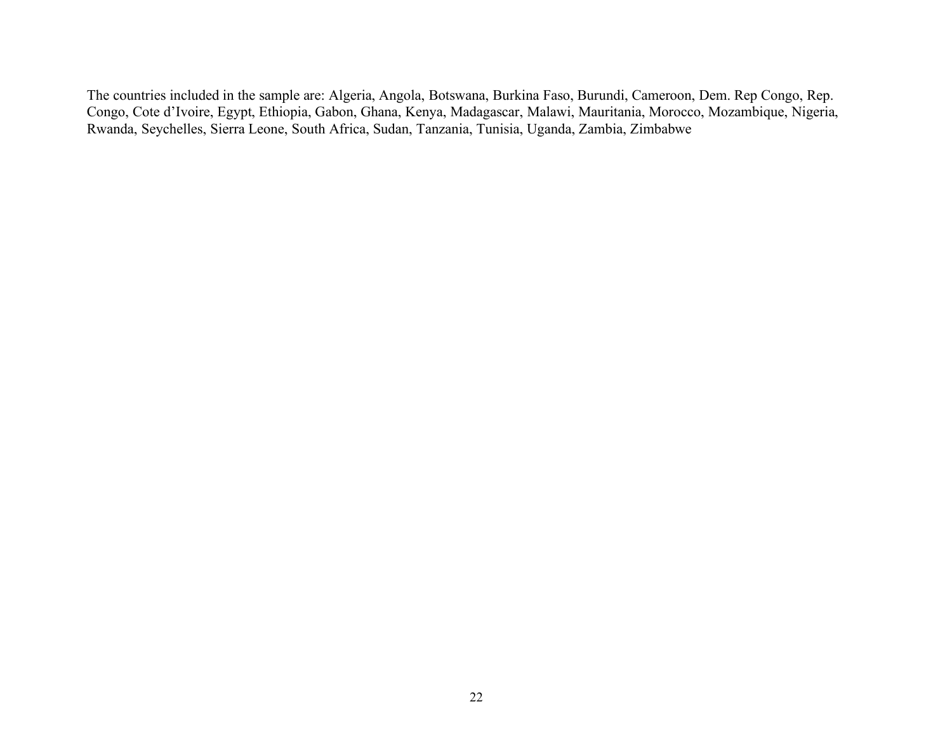The countries included in the sample are: Algeria, Angola, Botswana, Burkina Faso, Burundi, Cameroon, Dem. Rep Congo, Rep. Congo, Cote d'Ivoire, Egypt, Ethiopia, Gabon, Ghana, Kenya, Madagascar, Malawi, Mauritania, Morocco, Mozambique, Nigeria, Rwanda, Seychelles, Sierra Leone, South Africa, Sudan, Tanzania, Tunisia, Uganda, Zambia, Zimbabwe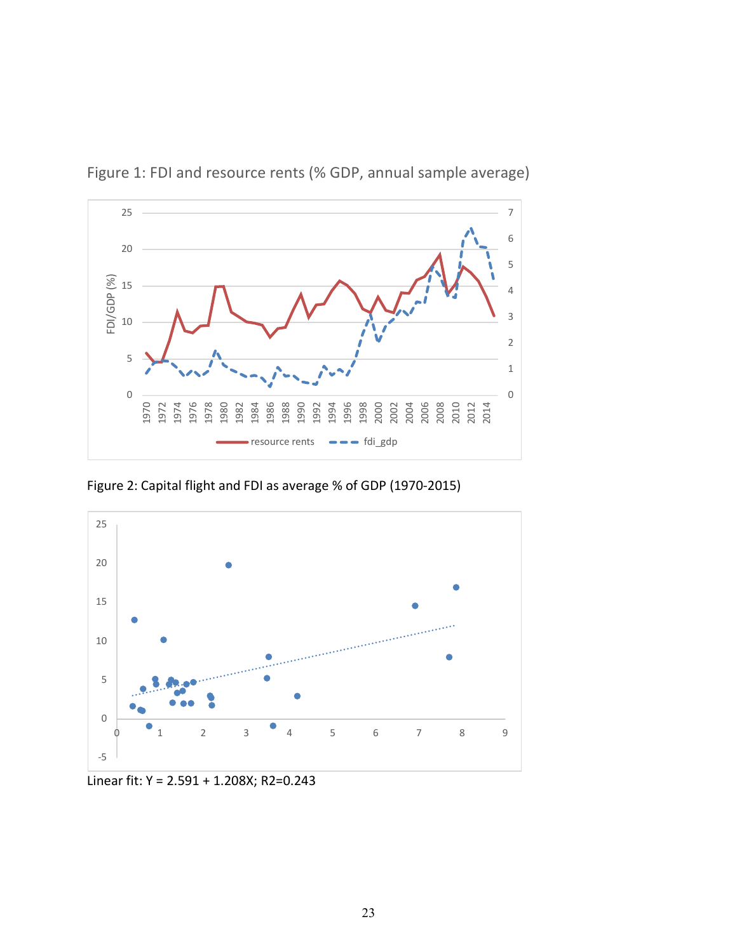

Figure 1: FDI and resource rents (% GDP, annual sample average)

Figure 2: Capital flight and FDI as average % of GDP (1970-2015)



Linear fit: Y = 2.591 + 1.208X; R2=0.243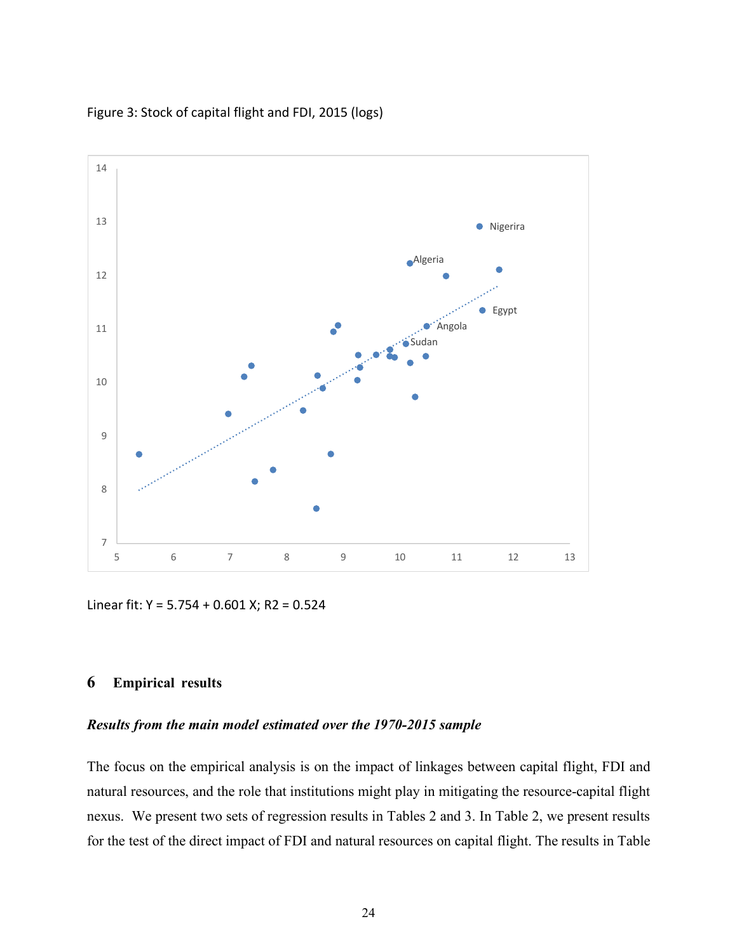

Figure 3: Stock of capital flight and FDI, 2015 (logs)

Linear fit: Y = 5.754 + 0.601 X; R2 = 0.524

# **6 Empirical results**

# *Results from the main model estimated over the 1970-2015 sample*

The focus on the empirical analysis is on the impact of linkages between capital flight, FDI and natural resources, and the role that institutions might play in mitigating the resource-capital flight nexus. We present two sets of regression results in Tables 2 and 3. In Table 2, we present results for the test of the direct impact of FDI and natural resources on capital flight. The results in Table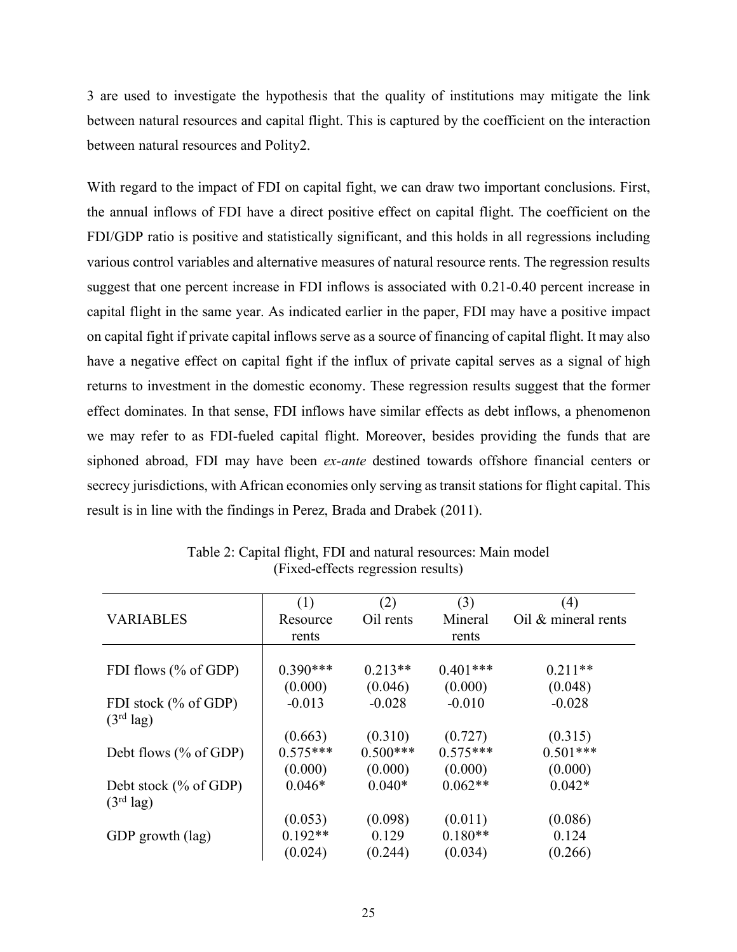3 are used to investigate the hypothesis that the quality of institutions may mitigate the link between natural resources and capital flight. This is captured by the coefficient on the interaction between natural resources and Polity2.

With regard to the impact of FDI on capital fight, we can draw two important conclusions. First, the annual inflows of FDI have a direct positive effect on capital flight. The coefficient on the FDI/GDP ratio is positive and statistically significant, and this holds in all regressions including various control variables and alternative measures of natural resource rents. The regression results suggest that one percent increase in FDI inflows is associated with 0.21-0.40 percent increase in capital flight in the same year. As indicated earlier in the paper, FDI may have a positive impact on capital fight if private capital inflows serve as a source of financing of capital flight. It may also have a negative effect on capital fight if the influx of private capital serves as a signal of high returns to investment in the domestic economy. These regression results suggest that the former effect dominates. In that sense, FDI inflows have similar effects as debt inflows, a phenomenon we may refer to as FDI-fueled capital flight. Moreover, besides providing the funds that are siphoned abroad, FDI may have been *ex-ante* destined towards offshore financial centers or secrecy jurisdictions, with African economies only serving as transit stations for flight capital. This result is in line with the findings in Perez, Brada and Drabek (2011).

|                          | (1)        | (2)        | (3)        | (4)                   |
|--------------------------|------------|------------|------------|-----------------------|
| <b>VARIABLES</b>         | Resource   | Oil rents  | Mineral    | Oil $&$ mineral rents |
|                          | rents      |            | rents      |                       |
|                          |            |            |            |                       |
| FDI flows (% of GDP)     | $0.390***$ | $0.213**$  | $0.401***$ | $0.211**$             |
|                          | (0.000)    | (0.046)    | (0.000)    | (0.048)               |
| FDI stock (% of GDP)     | $-0.013$   | $-0.028$   | $-0.010$   | $-0.028$              |
| $(3rd$ lag)              |            |            |            |                       |
|                          | (0.663)    | (0.310)    | (0.727)    | (0.315)               |
| Debt flows $(\%$ of GDP) | $0.575***$ | $0.500***$ | $0.575***$ | $0.501***$            |
|                          | (0.000)    | (0.000)    | (0.000)    | (0.000)               |
| Debt stock $(\%$ of GDP) | $0.046*$   | $0.040*$   | $0.062**$  | $0.042*$              |
| $(3rd$ lag)              |            |            |            |                       |
|                          | (0.053)    | (0.098)    | (0.011)    | (0.086)               |
| GDP growth (lag)         | $0.192**$  | 0.129      | $0.180**$  | 0.124                 |
|                          | (0.024)    | (0.244)    | (0.034)    | (0.266)               |

Table 2: Capital flight, FDI and natural resources: Main model (Fixed-effects regression results)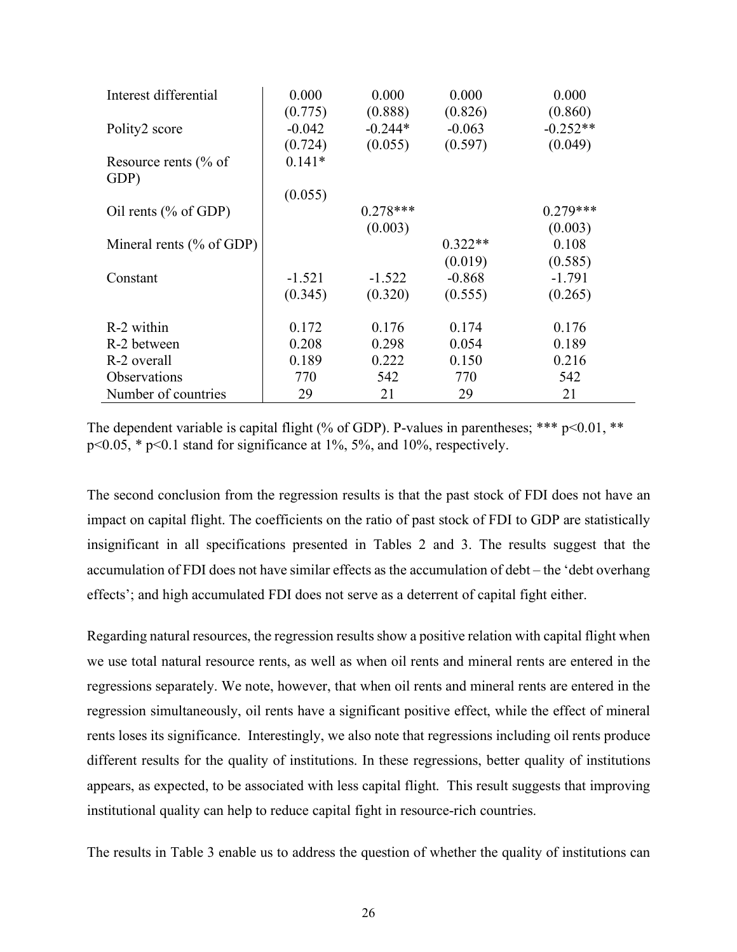| Interest differential         | 0.000    | 0.000      | 0.000     | 0.000      |
|-------------------------------|----------|------------|-----------|------------|
|                               | (0.775)  | (0.888)    | (0.826)   | (0.860)    |
| Polity2 score                 | $-0.042$ | $-0.244*$  | $-0.063$  | $-0.252**$ |
|                               | (0.724)  | (0.055)    | (0.597)   | (0.049)    |
| Resource rents $%$ of<br>GDP) | $0.141*$ |            |           |            |
|                               | (0.055)  |            |           |            |
| Oil rents (% of GDP)          |          | $0.278***$ |           | $0.279***$ |
|                               |          | (0.003)    |           | (0.003)    |
| Mineral rents $(\%$ of GDP)   |          |            | $0.322**$ | 0.108      |
|                               |          |            | (0.019)   | (0.585)    |
| Constant                      | $-1.521$ | $-1.522$   | $-0.868$  | $-1.791$   |
|                               | (0.345)  | (0.320)    | (0.555)   | (0.265)    |
| R-2 within                    | 0.172    | 0.176      | 0.174     | 0.176      |
| R-2 between                   | 0.208    | 0.298      | 0.054     | 0.189      |
| R-2 overall                   | 0.189    | 0.222      | 0.150     | 0.216      |
| <b>Observations</b>           | 770      | 542        | 770       | 542        |
| Number of countries           | 29       | 21         | 29        | 21         |

The dependent variable is capital flight (% of GDP). P-values in parentheses; \*\*\*  $p<0.01$ , \*\* p<0.05, \* p<0.1 stand for significance at 1%, 5%, and 10%, respectively.

The second conclusion from the regression results is that the past stock of FDI does not have an impact on capital flight. The coefficients on the ratio of past stock of FDI to GDP are statistically insignificant in all specifications presented in Tables 2 and 3. The results suggest that the accumulation of FDI does not have similar effects as the accumulation of debt – the 'debt overhang effects'; and high accumulated FDI does not serve as a deterrent of capital fight either.

Regarding natural resources, the regression results show a positive relation with capital flight when we use total natural resource rents, as well as when oil rents and mineral rents are entered in the regressions separately. We note, however, that when oil rents and mineral rents are entered in the regression simultaneously, oil rents have a significant positive effect, while the effect of mineral rents loses its significance. Interestingly, we also note that regressions including oil rents produce different results for the quality of institutions. In these regressions, better quality of institutions appears, as expected, to be associated with less capital flight. This result suggests that improving institutional quality can help to reduce capital fight in resource-rich countries.

The results in Table 3 enable us to address the question of whether the quality of institutions can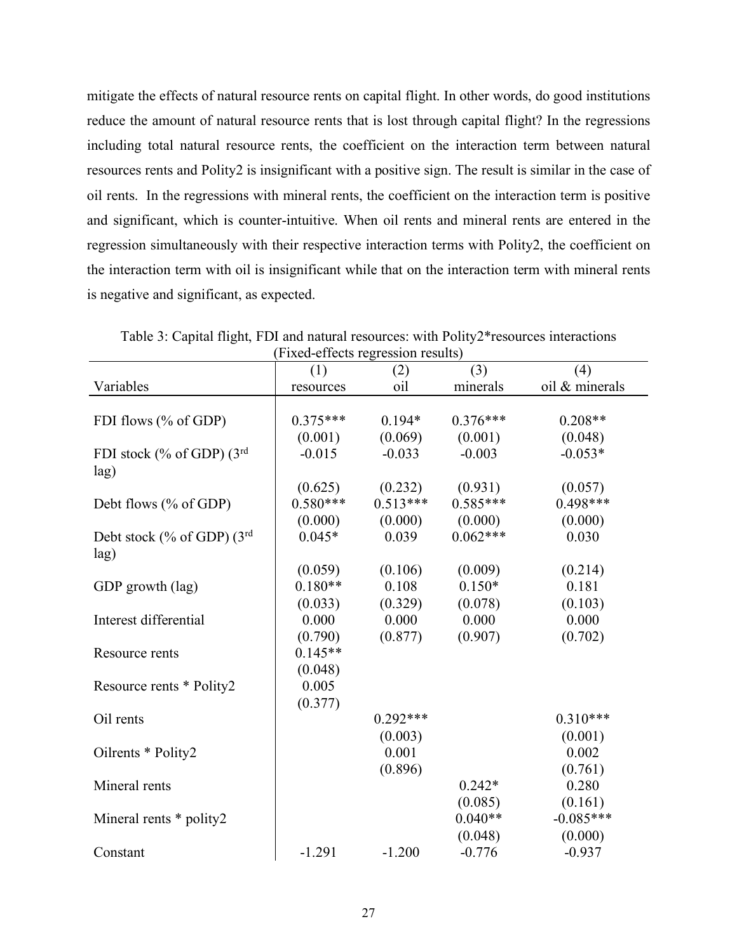mitigate the effects of natural resource rents on capital flight. In other words, do good institutions reduce the amount of natural resource rents that is lost through capital flight? In the regressions including total natural resource rents, the coefficient on the interaction term between natural resources rents and Polity2 is insignificant with a positive sign. The result is similar in the case of oil rents. In the regressions with mineral rents, the coefficient on the interaction term is positive and significant, which is counter-intuitive. When oil rents and mineral rents are entered in the regression simultaneously with their respective interaction terms with Polity2, the coefficient on the interaction term with oil is insignificant while that on the interaction term with mineral rents is negative and significant, as expected.

|                            | (Fixed-effects regression results) |            |            |                |
|----------------------------|------------------------------------|------------|------------|----------------|
|                            | (1)                                | (2)        | (3)        | (4)            |
| Variables                  | resources                          | oil        | minerals   | oil & minerals |
|                            |                                    |            |            |                |
| FDI flows (% of GDP)       | $0.375***$                         | $0.194*$   | $0.376***$ | $0.208**$      |
|                            | (0.001)                            | (0.069)    | (0.001)    | (0.048)        |
| FDI stock (% of GDP) (3rd  | $-0.015$                           | $-0.033$   | $-0.003$   | $-0.053*$      |
| lag)                       |                                    |            |            |                |
|                            | (0.625)                            | (0.232)    | (0.931)    | (0.057)        |
| Debt flows (% of GDP)      | $0.580***$                         | $0.513***$ | $0.585***$ | $0.498***$     |
|                            | (0.000)                            | (0.000)    | (0.000)    | (0.000)        |
| Debt stock (% of GDP) (3rd | $0.045*$                           | 0.039      | $0.062***$ | 0.030          |
| lag)                       |                                    |            |            |                |
|                            | (0.059)                            | (0.106)    | (0.009)    | (0.214)        |
| GDP growth (lag)           | $0.180**$                          | 0.108      | $0.150*$   | 0.181          |
|                            | (0.033)                            | (0.329)    | (0.078)    | (0.103)        |
| Interest differential      | 0.000                              | 0.000      | 0.000      | 0.000          |
|                            | (0.790)                            | (0.877)    | (0.907)    | (0.702)        |
| Resource rents             | $0.145**$                          |            |            |                |
|                            | (0.048)                            |            |            |                |
| Resource rents * Polity2   | 0.005                              |            |            |                |
|                            | (0.377)                            |            |            |                |
| Oil rents                  |                                    | $0.292***$ |            | $0.310***$     |
|                            |                                    | (0.003)    |            | (0.001)        |
| Oilrents * Polity2         |                                    | 0.001      |            | 0.002          |
|                            |                                    | (0.896)    |            | (0.761)        |
| Mineral rents              |                                    |            | $0.242*$   | 0.280          |
|                            |                                    |            | (0.085)    | (0.161)        |
| Mineral rents * polity2    |                                    |            | $0.040**$  | $-0.085***$    |
|                            |                                    |            | (0.048)    | (0.000)        |
| Constant                   | $-1.291$                           | $-1.200$   | $-0.776$   | $-0.937$       |

Table 3: Capital flight, FDI and natural resources: with Polity2\*resources interactions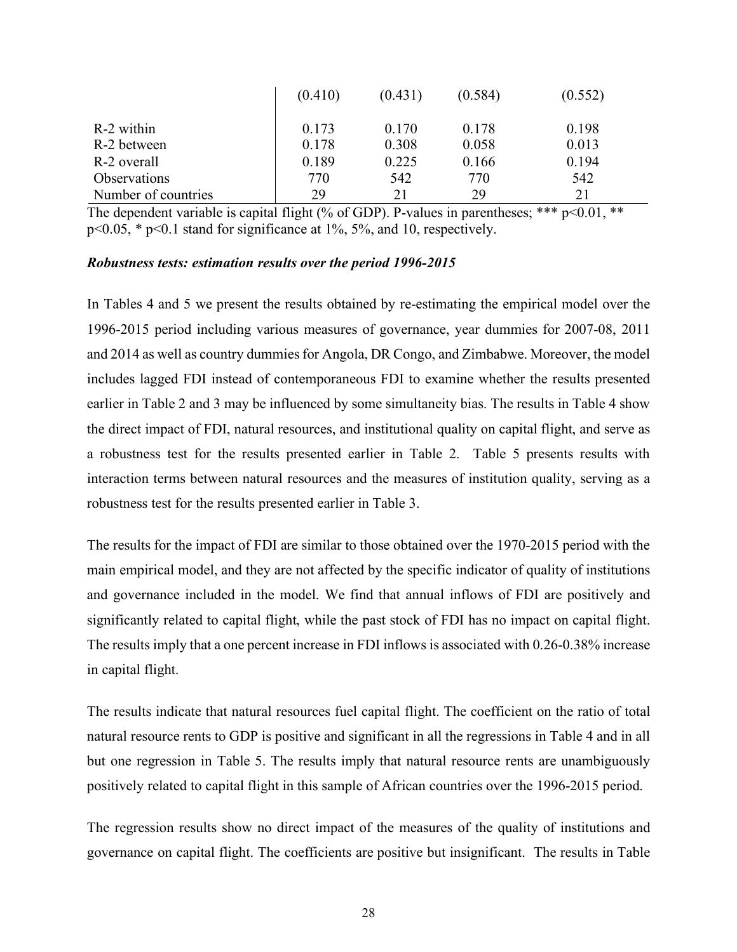|                     | (0.410) | (0.431) | (0.584) | (0.552) |
|---------------------|---------|---------|---------|---------|
| R-2 within          | 0.173   | 0.170   | 0.178   | 0.198   |
| R-2 between         | 0.178   | 0.308   | 0.058   | 0.013   |
| R-2 overall         | 0.189   | 0.225   | 0.166   | 0.194   |
| <b>Observations</b> | 770     | 542     | 770     | 542     |
| Number of countries | 29      | 21      | 29      | 21      |

The dependent variable is capital flight (% of GDP). P-values in parentheses; \*\*\*  $p<0.01$ , \*\* p<0.05, \* p<0.1 stand for significance at 1%, 5%, and 10, respectively.

#### *Robustness tests: estimation results over the period 1996-2015*

In Tables 4 and 5 we present the results obtained by re-estimating the empirical model over the 1996-2015 period including various measures of governance, year dummies for 2007-08, 2011 and 2014 as well as country dummies for Angola, DR Congo, and Zimbabwe. Moreover, the model includes lagged FDI instead of contemporaneous FDI to examine whether the results presented earlier in Table 2 and 3 may be influenced by some simultaneity bias. The results in Table 4 show the direct impact of FDI, natural resources, and institutional quality on capital flight, and serve as a robustness test for the results presented earlier in Table 2. Table 5 presents results with interaction terms between natural resources and the measures of institution quality, serving as a robustness test for the results presented earlier in Table 3.

The results for the impact of FDI are similar to those obtained over the 1970-2015 period with the main empirical model, and they are not affected by the specific indicator of quality of institutions and governance included in the model. We find that annual inflows of FDI are positively and significantly related to capital flight, while the past stock of FDI has no impact on capital flight. The results imply that a one percent increase in FDI inflows is associated with 0.26-0.38% increase in capital flight.

The results indicate that natural resources fuel capital flight. The coefficient on the ratio of total natural resource rents to GDP is positive and significant in all the regressions in Table 4 and in all but one regression in Table 5. The results imply that natural resource rents are unambiguously positively related to capital flight in this sample of African countries over the 1996-2015 period.

The regression results show no direct impact of the measures of the quality of institutions and governance on capital flight. The coefficients are positive but insignificant. The results in Table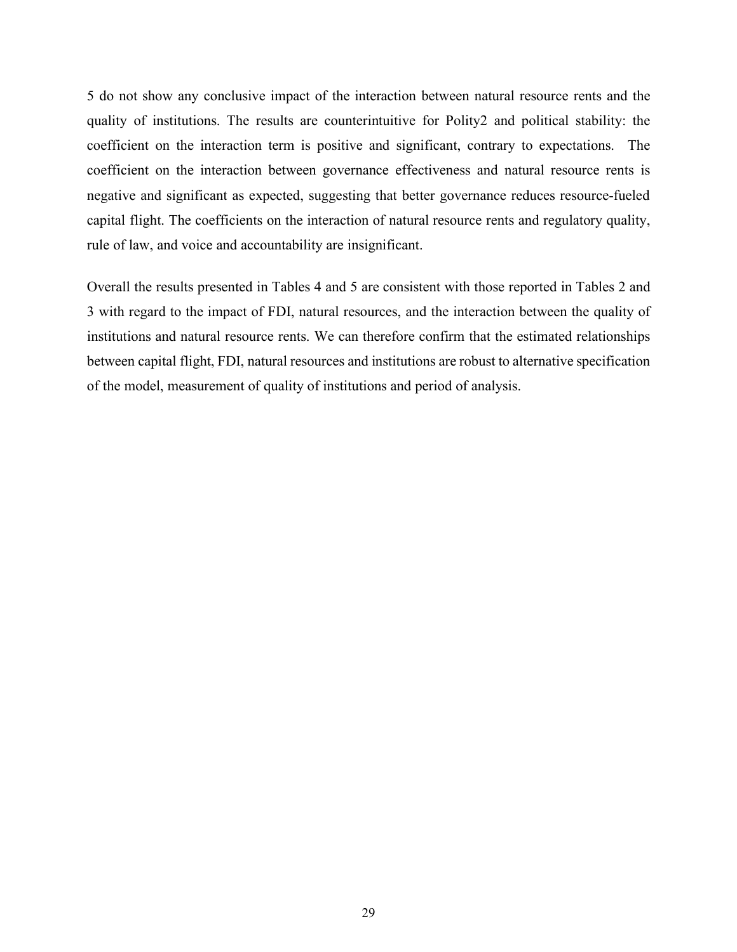5 do not show any conclusive impact of the interaction between natural resource rents and the quality of institutions. The results are counterintuitive for Polity2 and political stability: the coefficient on the interaction term is positive and significant, contrary to expectations. The coefficient on the interaction between governance effectiveness and natural resource rents is negative and significant as expected, suggesting that better governance reduces resource-fueled capital flight. The coefficients on the interaction of natural resource rents and regulatory quality, rule of law, and voice and accountability are insignificant.

Overall the results presented in Tables 4 and 5 are consistent with those reported in Tables 2 and 3 with regard to the impact of FDI, natural resources, and the interaction between the quality of institutions and natural resource rents. We can therefore confirm that the estimated relationships between capital flight, FDI, natural resources and institutions are robust to alternative specification of the model, measurement of quality of institutions and period of analysis.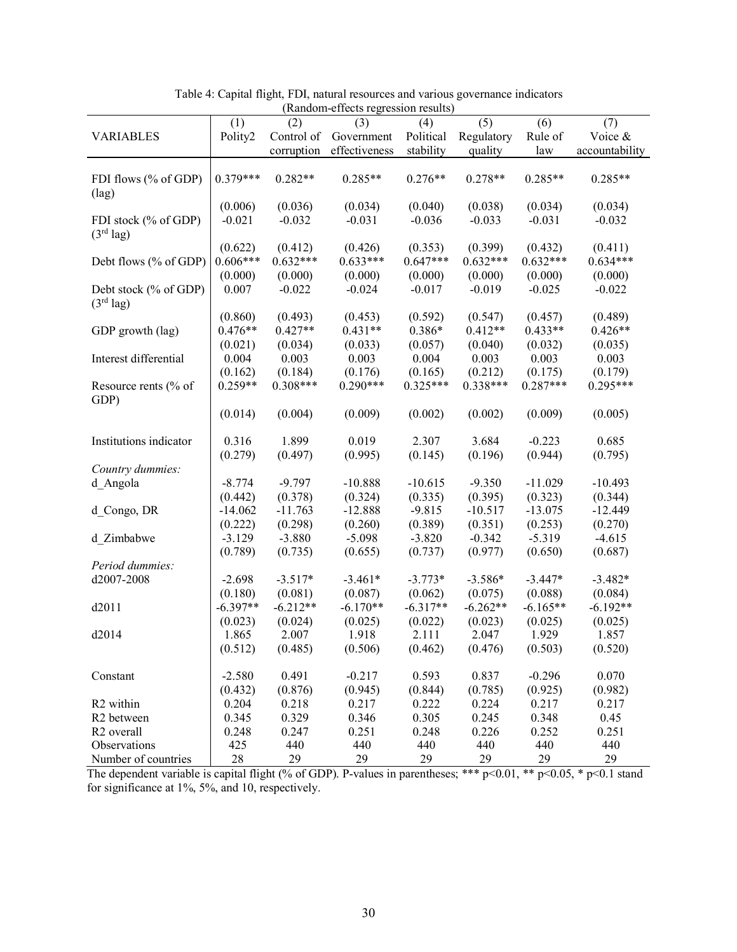|                        |            |                       | (Random-effects regression results) |                       |            |                       |                       |
|------------------------|------------|-----------------------|-------------------------------------|-----------------------|------------|-----------------------|-----------------------|
|                        | (1)        | (2)                   | (3)                                 | (4)                   | (5)        | (6)                   | (7)                   |
| <b>VARIABLES</b>       | Polity2    | Control of            | Government                          | Political             | Regulatory | Rule of               | Voice &               |
|                        |            | corruption            | effectiveness                       | stability             | quality    | law                   | accountability        |
|                        |            |                       |                                     |                       |            |                       |                       |
| FDI flows (% of GDP)   | $0.379***$ | $0.282**$             | $0.285**$                           | $0.276**$             | $0.278**$  | $0.285**$             | $0.285**$             |
| $(\text{lag})$         |            |                       |                                     |                       |            |                       |                       |
|                        | (0.006)    | (0.036)               | (0.034)                             | (0.040)               | (0.038)    | (0.034)               | (0.034)               |
| FDI stock (% of GDP)   | $-0.021$   | $-0.032$              | $-0.031$                            | $-0.036$              | $-0.033$   | $-0.031$              | $-0.032$              |
| $(3rd$ lag)            |            |                       |                                     |                       |            |                       |                       |
|                        | (0.622)    |                       |                                     |                       | (0.399)    |                       |                       |
|                        |            | (0.412)<br>$0.632***$ | (0.426)<br>$0.633***$               | (0.353)<br>$0.647***$ |            | (0.432)<br>$0.632***$ | (0.411)<br>$0.634***$ |
| Debt flows (% of GDP)  | $0.606***$ |                       |                                     |                       | $0.632***$ |                       |                       |
|                        | (0.000)    | (0.000)               | (0.000)                             | (0.000)               | (0.000)    | (0.000)               | (0.000)               |
| Debt stock (% of GDP)  | 0.007      | $-0.022$              | $-0.024$                            | $-0.017$              | $-0.019$   | $-0.025$              | $-0.022$              |
| $(3rd$ lag)            |            |                       |                                     |                       |            |                       |                       |
|                        | (0.860)    | (0.493)               | (0.453)                             | (0.592)               | (0.547)    | (0.457)               | (0.489)               |
| GDP growth (lag)       | $0.476**$  | $0.427**$             | $0.431**$                           | $0.386*$              | $0.412**$  | $0.433**$             | $0.426**$             |
|                        | (0.021)    | (0.034)               | (0.033)                             | (0.057)               | (0.040)    | (0.032)               | (0.035)               |
| Interest differential  | 0.004      | 0.003                 | 0.003                               | 0.004                 | 0.003      | 0.003                 | 0.003                 |
|                        | (0.162)    | (0.184)               | (0.176)                             | (0.165)               | (0.212)    | (0.175)               | (0.179)               |
| Resource rents (% of   | $0.259**$  | $0.308***$            | $0.290***$                          | $0.325***$            | $0.338***$ | $0.287***$            | $0.295***$            |
| GDP)                   |            |                       |                                     |                       |            |                       |                       |
|                        | (0.014)    | (0.004)               | (0.009)                             | (0.002)               | (0.002)    | (0.009)               | (0.005)               |
|                        |            |                       |                                     |                       |            |                       |                       |
| Institutions indicator | 0.316      | 1.899                 | 0.019                               | 2.307                 | 3.684      | $-0.223$              | 0.685                 |
|                        | (0.279)    | (0.497)               | (0.995)                             | (0.145)               | (0.196)    | (0.944)               | (0.795)               |
| Country dummies:       |            |                       |                                     |                       |            |                       |                       |
| d Angola               | $-8.774$   | $-9.797$              | $-10.888$                           | $-10.615$             | $-9.350$   | $-11.029$             | $-10.493$             |
|                        | (0.442)    | (0.378)               | (0.324)                             | (0.335)               | (0.395)    | (0.323)               | (0.344)               |
| d Congo, DR            | $-14.062$  | $-11.763$             | $-12.888$                           | $-9.815$              | $-10.517$  | $-13.075$             | $-12.449$             |
|                        | (0.222)    | (0.298)               | (0.260)                             | (0.389)               | (0.351)    | (0.253)               | (0.270)               |
| d Zimbabwe             | $-3.129$   | $-3.880$              | $-5.098$                            | $-3.820$              | $-0.342$   | $-5.319$              | $-4.615$              |
|                        | (0.789)    | (0.735)               | (0.655)                             | (0.737)               | (0.977)    | (0.650)               | (0.687)               |
| Period dummies:        |            |                       |                                     |                       |            |                       |                       |
| d2007-2008             | $-2.698$   | $-3.517*$             | $-3.461*$                           | $-3.773*$             | $-3.586*$  | $-3.447*$             | $-3.482*$             |
|                        | (0.180)    | (0.081)               | (0.087)                             | (0.062)               | (0.075)    | (0.088)               | (0.084)               |
| d2011                  | $-6.397**$ | $-6.212**$            | $-6.170**$                          | $-6.317**$            | $-6.262**$ | $-6.165**$            | $-6.192**$            |
|                        |            |                       |                                     |                       |            |                       |                       |
|                        | (0.023)    | (0.024)<br>2.007      | (0.025)                             | (0.022)               | (0.023)    | (0.025)               | (0.025)               |
| d2014                  | 1.865      |                       | 1.918                               | 2.111                 | 2.047      | 1.929                 | 1.857<br>(0.520)      |
|                        | (0.512)    | (0.485)               | (0.506)                             | (0.462)               | (0.476)    | (0.503)               |                       |
|                        |            |                       |                                     |                       |            |                       |                       |
| Constant               | $-2.580$   | 0.491                 | $-0.217$                            | 0.593                 | 0.837      | $-0.296$              | 0.070                 |
|                        | (0.432)    | (0.876)               | (0.945)                             | (0.844)               | (0.785)    | (0.925)               | (0.982)               |
| R <sub>2</sub> within  | 0.204      | 0.218                 | 0.217                               | 0.222                 | 0.224      | 0.217                 | 0.217                 |
| R <sub>2</sub> between | 0.345      | 0.329                 | 0.346                               | 0.305                 | 0.245      | 0.348                 | 0.45                  |
| R <sub>2</sub> overall | 0.248      | 0.247                 | 0.251                               | 0.248                 | 0.226      | 0.252                 | 0.251                 |
| Observations           | 425        | 440                   | 440                                 | 440                   | 440        | 440                   | 440                   |
| Number of countries    | 28         | 29                    | 29                                  | 29                    | 29         | 29                    | 29                    |

Table 4: Capital flight, FDI, natural resources and various governance indicators

The dependent variable is capital flight (% of GDP). P-values in parentheses; \*\*\*  $p<0.01$ , \*\*  $p<0.05$ , \*  $p<0.1$  stand for significance at 1%, 5%, and 10, respectively.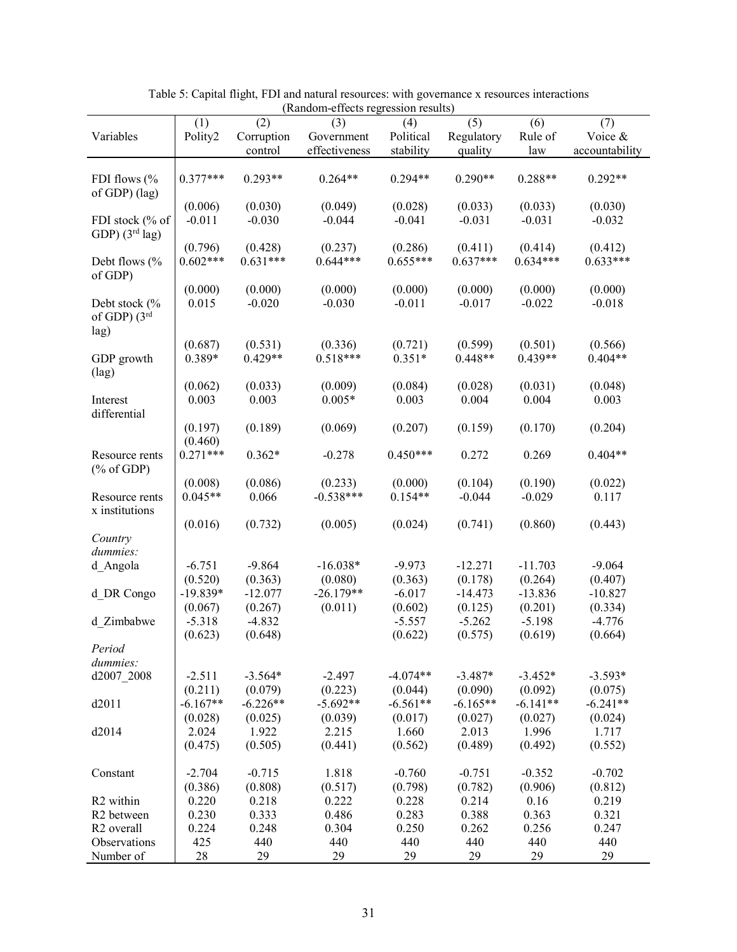|                                                              |            |            | (Nanuolii-eriects regression results) |            |            |            |                |
|--------------------------------------------------------------|------------|------------|---------------------------------------|------------|------------|------------|----------------|
|                                                              | (1)        | (2)        | (3)                                   | (4)        | (5)        | (6)        | (7)            |
| Variables                                                    | Polity2    | Corruption | Government                            | Political  | Regulatory | Rule of    | Voice &        |
|                                                              |            | control    | effectiveness                         | stability  | quality    | law        | accountability |
|                                                              |            |            |                                       |            |            |            |                |
|                                                              | $0.377***$ | $0.293**$  | $0.264**$                             | $0.294**$  | $0.290**$  | $0.288**$  | $0.292**$      |
| FDI flows $\frac{6}{6}$                                      |            |            |                                       |            |            |            |                |
| of GDP) (lag)                                                |            |            |                                       |            |            |            |                |
|                                                              | (0.006)    | (0.030)    | (0.049)                               | (0.028)    | (0.033)    | (0.033)    | (0.030)        |
| FDI stock (% of                                              | $-0.011$   | $-0.030$   | $-0.044$                              | $-0.041$   | $-0.031$   | $-0.031$   | $-0.032$       |
| $GDP$ ) ( $3rd$ lag)                                         |            |            |                                       |            |            |            |                |
|                                                              | (0.796)    | (0.428)    | (0.237)                               | (0.286)    | (0.411)    | (0.414)    | (0.412)        |
| Debt flows $\frac{6}{6}$                                     | $0.602***$ | $0.631***$ | $0.644***$                            | $0.655***$ | $0.637***$ | $0.634***$ | $0.633***$     |
| of GDP)                                                      |            |            |                                       |            |            |            |                |
|                                                              |            |            |                                       |            |            |            |                |
|                                                              | (0.000)    | (0.000)    | (0.000)                               | (0.000)    | (0.000)    | (0.000)    | (0.000)        |
| Debt stock $\frac{6}{6}$                                     | 0.015      | $-0.020$   | $-0.030$                              | $-0.011$   | $-0.017$   | $-0.022$   | $-0.018$       |
| of GDP) $(3^{rd}$                                            |            |            |                                       |            |            |            |                |
| lag)                                                         |            |            |                                       |            |            |            |                |
|                                                              | (0.687)    | (0.531)    | (0.336)                               | (0.721)    | (0.599)    | (0.501)    | (0.566)        |
| GDP growth                                                   | 0.389*     | $0.429**$  | $0.518***$                            | $0.351*$   | $0.448**$  | $0.439**$  | $0.404**$      |
|                                                              |            |            |                                       |            |            |            |                |
| $(\text{lag})$                                               |            |            |                                       |            |            |            |                |
|                                                              | (0.062)    | (0.033)    | (0.009)                               | (0.084)    | (0.028)    | (0.031)    | (0.048)        |
| Interest                                                     | 0.003      | 0.003      | $0.005*$                              | 0.003      | 0.004      | 0.004      | 0.003          |
| differential                                                 |            |            |                                       |            |            |            |                |
|                                                              | (0.197)    | (0.189)    | (0.069)                               | (0.207)    | (0.159)    | (0.170)    | (0.204)        |
|                                                              | (0.460)    |            |                                       |            |            |            |                |
| Resource rents                                               | $0.271***$ | $0.362*$   | $-0.278$                              | $0.450***$ | 0.272      | 0.269      | $0.404**$      |
|                                                              |            |            |                                       |            |            |            |                |
| $(% \mathcal{O}(\mathcal{O})\otimes \mathcal{O})$ (% of GDP) |            |            |                                       |            |            |            |                |
|                                                              | (0.008)    | (0.086)    | (0.233)                               | (0.000)    | (0.104)    | (0.190)    | (0.022)        |
| Resource rents                                               | $0.045**$  | 0.066      | $-0.538***$                           | $0.154**$  | $-0.044$   | $-0.029$   | 0.117          |
| x institutions                                               |            |            |                                       |            |            |            |                |
|                                                              | (0.016)    | (0.732)    | (0.005)                               | (0.024)    | (0.741)    | (0.860)    | (0.443)        |
| Country                                                      |            |            |                                       |            |            |            |                |
| dummies:                                                     |            |            |                                       |            |            |            |                |
| d_Angola                                                     | $-6.751$   | $-9.864$   | $-16.038*$                            | $-9.973$   | $-12.271$  | $-11.703$  | $-9.064$       |
|                                                              |            |            |                                       |            |            |            |                |
|                                                              | (0.520)    | (0.363)    | (0.080)                               | (0.363)    | (0.178)    | (0.264)    | (0.407)        |
| d DR Congo                                                   | $-19.839*$ | $-12.077$  | $-26.179**$                           | $-6.017$   | $-14.473$  | $-13.836$  | $-10.827$      |
|                                                              | (0.067)    | (0.267)    | (0.011)                               | (0.602)    | (0.125)    | (0.201)    | (0.334)        |
| d Zimbabwe                                                   | $-5.318$   | $-4.832$   |                                       | $-5.557$   | $-5.262$   | $-5.198$   | $-4.776$       |
|                                                              | (0.623)    | (0.648)    |                                       | (0.622)    | (0.575)    | (0.619)    | (0.664)        |
| Period                                                       |            |            |                                       |            |            |            |                |
| dummies:                                                     |            |            |                                       |            |            |            |                |
| d2007 2008                                                   | $-2.511$   | $-3.564*$  | $-2.497$                              | $-4.074**$ | $-3.487*$  | $-3.452*$  | $-3.593*$      |
|                                                              |            |            |                                       |            |            |            |                |
|                                                              | (0.211)    | (0.079)    | (0.223)                               | (0.044)    | (0.090)    | (0.092)    | (0.075)        |
| d2011                                                        | $-6.167**$ | $-6.226**$ | $-5.692**$                            | $-6.561**$ | $-6.165**$ | $-6.141**$ | $-6.241**$     |
|                                                              | (0.028)    | (0.025)    | (0.039)                               | (0.017)    | (0.027)    | (0.027)    | (0.024)        |
| d2014                                                        | 2.024      | 1.922      | 2.215                                 | 1.660      | 2.013      | 1.996      | 1.717          |
|                                                              | (0.475)    | (0.505)    | (0.441)                               | (0.562)    | (0.489)    | (0.492)    | (0.552)        |
|                                                              |            |            |                                       |            |            |            |                |
| Constant                                                     | $-2.704$   | $-0.715$   | 1.818                                 | $-0.760$   | $-0.751$   | $-0.352$   | $-0.702$       |
|                                                              |            |            |                                       |            |            |            |                |
|                                                              | (0.386)    | (0.808)    | (0.517)                               | (0.798)    | (0.782)    | (0.906)    | (0.812)        |
| R <sub>2</sub> within                                        | 0.220      | 0.218      | 0.222                                 | 0.228      | 0.214      | 0.16       | 0.219          |
| R <sub>2</sub> between                                       | 0.230      | 0.333      | 0.486                                 | 0.283      | 0.388      | 0.363      | 0.321          |
| R <sub>2</sub> overall                                       | 0.224      | 0.248      | 0.304                                 | 0.250      | 0.262      | 0.256      | 0.247          |
| Observations                                                 | 425        | 440        | 440                                   | 440        | 440        | 440        | 440            |
| Number of                                                    | 28         | 29         | 29                                    | 29         | 29         | 29         | 29             |
|                                                              |            |            |                                       |            |            |            |                |

Table 5: Capital flight, FDI and natural resources: with governance x resources interactions (Random-effects regression results)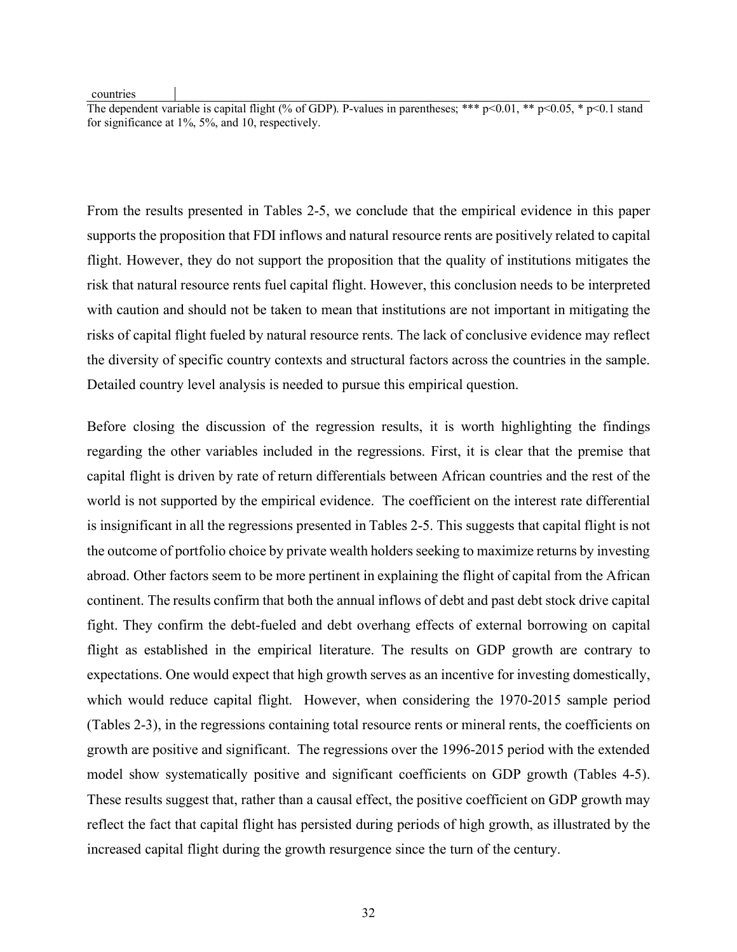countries

The dependent variable is capital flight (% of GDP). P-values in parentheses; \*\*\*  $p<0.01$ , \*\*  $p<0.05$ , \*  $p<0.1$  stand for significance at 1%, 5%, and 10, respectively.

From the results presented in Tables 2-5, we conclude that the empirical evidence in this paper supports the proposition that FDI inflows and natural resource rents are positively related to capital flight. However, they do not support the proposition that the quality of institutions mitigates the risk that natural resource rents fuel capital flight. However, this conclusion needs to be interpreted with caution and should not be taken to mean that institutions are not important in mitigating the risks of capital flight fueled by natural resource rents. The lack of conclusive evidence may reflect the diversity of specific country contexts and structural factors across the countries in the sample. Detailed country level analysis is needed to pursue this empirical question.

Before closing the discussion of the regression results, it is worth highlighting the findings regarding the other variables included in the regressions. First, it is clear that the premise that capital flight is driven by rate of return differentials between African countries and the rest of the world is not supported by the empirical evidence. The coefficient on the interest rate differential is insignificant in all the regressions presented in Tables 2-5. This suggests that capital flight is not the outcome of portfolio choice by private wealth holders seeking to maximize returns by investing abroad. Other factors seem to be more pertinent in explaining the flight of capital from the African continent. The results confirm that both the annual inflows of debt and past debt stock drive capital fight. They confirm the debt-fueled and debt overhang effects of external borrowing on capital flight as established in the empirical literature. The results on GDP growth are contrary to expectations. One would expect that high growth serves as an incentive for investing domestically, which would reduce capital flight. However, when considering the 1970-2015 sample period (Tables 2-3), in the regressions containing total resource rents or mineral rents, the coefficients on growth are positive and significant. The regressions over the 1996-2015 period with the extended model show systematically positive and significant coefficients on GDP growth (Tables 4-5). These results suggest that, rather than a causal effect, the positive coefficient on GDP growth may reflect the fact that capital flight has persisted during periods of high growth, as illustrated by the increased capital flight during the growth resurgence since the turn of the century.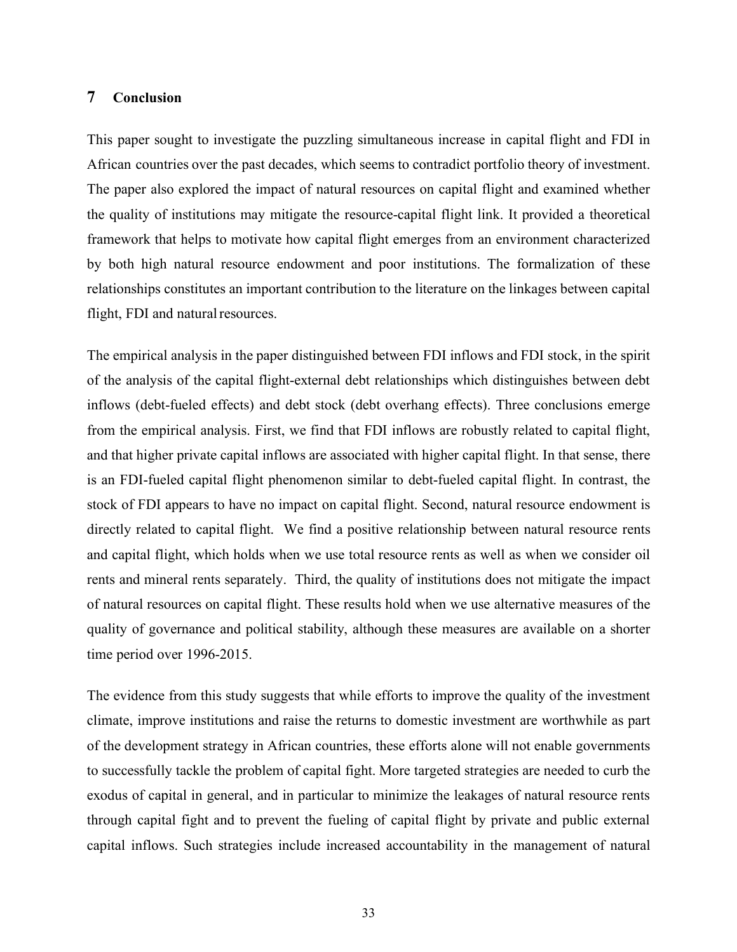#### **7 Conclusion**

This paper sought to investigate the puzzling simultaneous increase in capital flight and FDI in African countries over the past decades, which seems to contradict portfolio theory of investment. The paper also explored the impact of natural resources on capital flight and examined whether the quality of institutions may mitigate the resource-capital flight link. It provided a theoretical framework that helps to motivate how capital flight emerges from an environment characterized by both high natural resource endowment and poor institutions. The formalization of these relationships constitutes an important contribution to the literature on the linkages between capital flight, FDI and natural resources.

The empirical analysis in the paper distinguished between FDI inflows and FDI stock, in the spirit of the analysis of the capital flight-external debt relationships which distinguishes between debt inflows (debt-fueled effects) and debt stock (debt overhang effects). Three conclusions emerge from the empirical analysis. First, we find that FDI inflows are robustly related to capital flight, and that higher private capital inflows are associated with higher capital flight. In that sense, there is an FDI-fueled capital flight phenomenon similar to debt-fueled capital flight. In contrast, the stock of FDI appears to have no impact on capital flight. Second, natural resource endowment is directly related to capital flight. We find a positive relationship between natural resource rents and capital flight, which holds when we use total resource rents as well as when we consider oil rents and mineral rents separately. Third, the quality of institutions does not mitigate the impact of natural resources on capital flight. These results hold when we use alternative measures of the quality of governance and political stability, although these measures are available on a shorter time period over 1996-2015.

The evidence from this study suggests that while efforts to improve the quality of the investment climate, improve institutions and raise the returns to domestic investment are worthwhile as part of the development strategy in African countries, these efforts alone will not enable governments to successfully tackle the problem of capital fight. More targeted strategies are needed to curb the exodus of capital in general, and in particular to minimize the leakages of natural resource rents through capital fight and to prevent the fueling of capital flight by private and public external capital inflows. Such strategies include increased accountability in the management of natural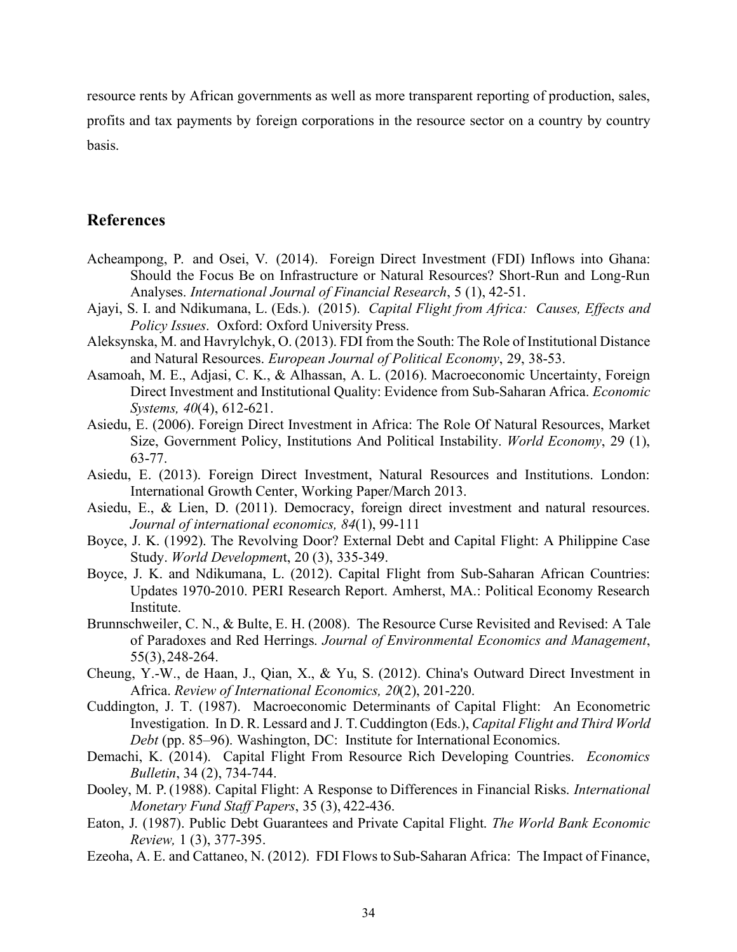resource rents by African governments as well as more transparent reporting of production, sales, profits and tax payments by foreign corporations in the resource sector on a country by country basis.

# **References**

- Acheampong, P. and Osei, V. (2014). Foreign Direct Investment (FDI) Inflows into Ghana: Should the Focus Be on Infrastructure or Natural Resources? Short-Run and Long-Run Analyses. *International Journal of Financial Research*, 5 (1), 42-51.
- Ajayi, S. I. and Ndikumana, L. (Eds.). (2015). *Capital Flight from Africa: Causes, Effects and Policy Issues*. Oxford: Oxford University Press.
- Aleksynska, M. and Havrylchyk, O. (2013). FDI from the South: The Role of Institutional Distance and Natural Resources. *European Journal of Political Economy*, 29, 38-53.
- Asamoah, M. E., Adjasi, C. K., & Alhassan, A. L. (2016). Macroeconomic Uncertainty, Foreign Direct Investment and Institutional Quality: Evidence from Sub-Saharan Africa. *Economic Systems, 40*(4), 612-621.
- Asiedu, E. (2006). Foreign Direct Investment in Africa: The Role Of Natural Resources, Market Size, Government Policy, Institutions And Political Instability. *World Economy*, 29 (1), 63-77.
- Asiedu, E. (2013). Foreign Direct Investment, Natural Resources and Institutions. London: International Growth Center, Working Paper/March 2013.
- Asiedu, E., & Lien, D. (2011). Democracy, foreign direct investment and natural resources. *Journal of international economics, 84*(1), 99-111
- Boyce, J. K. (1992). The Revolving Door? External Debt and Capital Flight: A Philippine Case Study. *World Developmen*t, 20 (3), 335-349.
- Boyce, J. K. and Ndikumana, L. (2012). Capital Flight from Sub-Saharan African Countries: Updates 1970-2010. PERI Research Report. Amherst, MA.: Political Economy Research Institute.
- Brunnschweiler, C. N., & Bulte, E. H. (2008). The Resource Curse Revisited and Revised: A Tale of Paradoxes and Red Herrings. *Journal of Environmental Economics and Management*, 55(3),248-264.
- Cheung, Y.-W., de Haan, J., Qian, X., & Yu, S. (2012). China's Outward Direct Investment in Africa. *Review of International Economics, 20*(2), 201-220.
- Cuddington, J. T. (1987). Macroeconomic Determinants of Capital Flight: An Econometric Investigation. In D. R. Lessard and J. T. Cuddington (Eds.), *Capital Flight and Third World Debt* (pp. 85–96). Washington, DC: Institute for International Economics.
- Demachi, K. (2014). Capital Flight From Resource Rich Developing Countries. *Economics Bulletin*, 34 (2), 734-744.
- Dooley, M. P. (1988). Capital Flight: A Response to Differences in Financial Risks. *International Monetary Fund Staff Papers*, 35 (3), 422-436.
- Eaton, J. (1987). Public Debt Guarantees and Private Capital Flight. *The World Bank Economic Review,* 1 (3), 377-395.
- Ezeoha, A. E. and Cattaneo, N. (2012). FDI Flows to Sub-Saharan Africa: The Impact of Finance,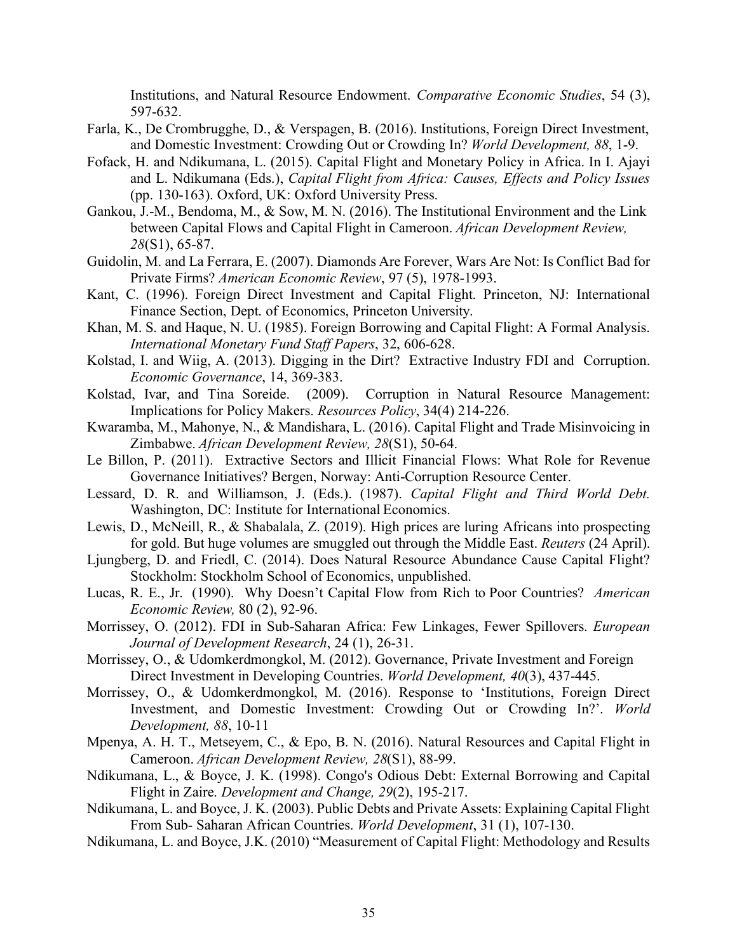Institutions, and Natural Resource Endowment. *Comparative Economic Studies*, 54 (3), 597-632.

- Farla, K., De Crombrugghe, D., & Verspagen, B. (2016). Institutions, Foreign Direct Investment, and Domestic Investment: Crowding Out or Crowding In? *World Development, 88*, 1-9.
- Fofack, H. and Ndikumana, L. (2015). Capital Flight and Monetary Policy in Africa. In I. Ajayi and L. Ndikumana (Eds.), *Capital Flight from Africa: Causes, Effects and Policy Issues* (pp. 130-163). Oxford, UK: Oxford University Press.
- Gankou, J.-M., Bendoma, M., & Sow, M. N. (2016). The Institutional Environment and the Link between Capital Flows and Capital Flight in Cameroon. *African Development Review, 28*(S1), 65-87.
- Guidolin, M. and La Ferrara, E. (2007). Diamonds Are Forever, Wars Are Not: Is Conflict Bad for Private Firms? *American Economic Review*, 97 (5), 1978-1993.
- Kant, C. (1996). Foreign Direct Investment and Capital Flight. Princeton, NJ: International Finance Section, Dept. of Economics, Princeton University.
- Khan, M. S. and Haque, N. U. (1985). Foreign Borrowing and Capital Flight: A Formal Analysis. *International Monetary Fund Staff Papers*, 32, 606-628.
- Kolstad, I. and Wiig, A. (2013). Digging in the Dirt? Extractive Industry FDI and Corruption. *Economic Governance*, 14, 369-383.
- Kolstad, Ivar, and Tina Soreide. (2009). Corruption in Natural Resource Management: Implications for Policy Makers. *Resources Policy*, 34(4) 214-226.
- Kwaramba, M., Mahonye, N., & Mandishara, L. (2016). Capital Flight and Trade Misinvoicing in Zimbabwe. *African Development Review, 28*(S1), 50-64.
- Le Billon, P. (2011). Extractive Sectors and Illicit Financial Flows: What Role for Revenue Governance Initiatives? Bergen, Norway: Anti-Corruption Resource Center.
- Lessard, D. R. and Williamson, J. (Eds.). (1987). *Capital Flight and Third World Debt.* Washington, DC: Institute for International Economics.
- Lewis, D., McNeill, R., & Shabalala, Z. (2019). High prices are luring Africans into prospecting for gold. But huge volumes are smuggled out through the Middle East. *Reuters* (24 April).
- Ljungberg, D. and Friedl, C. (2014). Does Natural Resource Abundance Cause Capital Flight? Stockholm: Stockholm School of Economics, unpublished.
- Lucas, R. E., Jr. (1990). Why Doesn't Capital Flow from Rich to Poor Countries? *American Economic Review,* 80 (2), 92-96.
- Morrissey, O. (2012). FDI in Sub-Saharan Africa: Few Linkages, Fewer Spillovers. *European Journal of Development Research*, 24 (1), 26-31.
- Morrissey, O., & Udomkerdmongkol, M. (2012). Governance, Private Investment and Foreign Direct Investment in Developing Countries. *World Development, 40*(3), 437-445.
- Morrissey, O., & Udomkerdmongkol, M. (2016). Response to 'Institutions, Foreign Direct Investment, and Domestic Investment: Crowding Out or Crowding In?'. *World Development, 88*, 10-11
- Mpenya, A. H. T., Metseyem, C., & Epo, B. N. (2016). Natural Resources and Capital Flight in Cameroon. *African Development Review, 28*(S1), 88-99.
- Ndikumana, L., & Boyce, J. K. (1998). Congo's Odious Debt: External Borrowing and Capital Flight in Zaire. *Development and Change, 29*(2), 195-217.
- Ndikumana, L. and Boyce, J. K. (2003). Public Debts and Private Assets: Explaining Capital Flight From Sub- Saharan African Countries. *World Development*, 31 (1), 107-130.
- Ndikumana, L. and Boyce, J.K. (2010) "Measurement of Capital Flight: Methodology and Results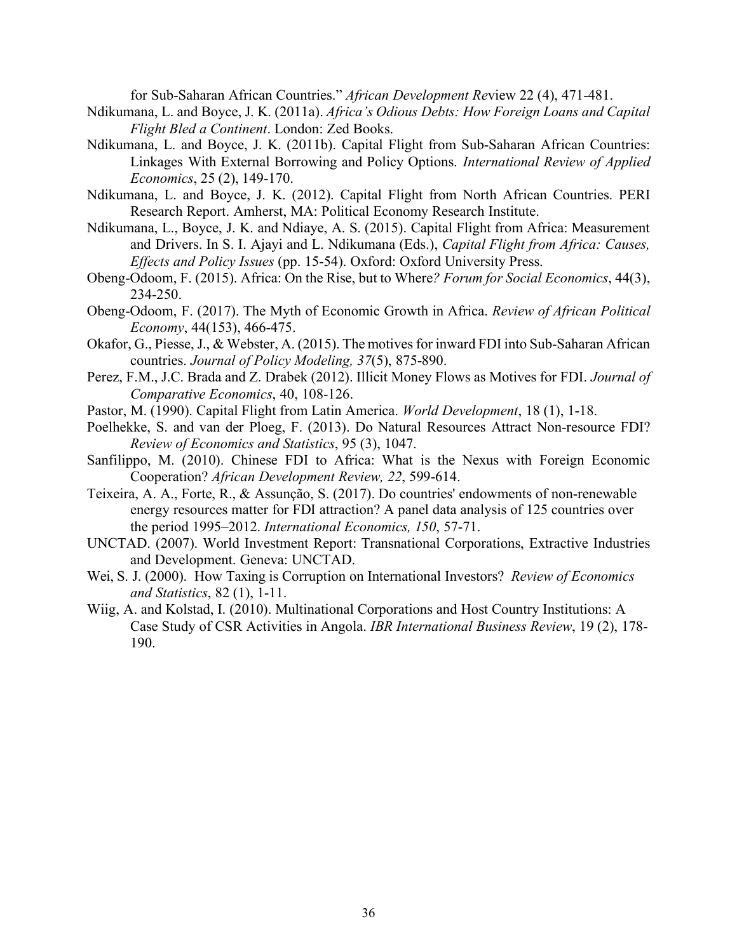for Sub-Saharan African Countries." *African Development Re*view 22 (4), 471-481.

- Ndikumana, L. and Boyce, J. K. (2011a). *Africa's Odious Debts: How Foreign Loans and Capital Flight Bled a Continent*. London: Zed Books.
- Ndikumana, L. and Boyce, J. K. (2011b). Capital Flight from Sub-Saharan African Countries: Linkages With External Borrowing and Policy Options. *International Review of Applied Economics*, 25 (2), 149-170.
- Ndikumana, L. and Boyce, J. K. (2012). Capital Flight from North African Countries. PERI Research Report. Amherst, MA: Political Economy Research Institute.
- Ndikumana, L., Boyce, J. K. and Ndiaye, A. S. (2015). Capital Flight from Africa: Measurement and Drivers. In S. I. Ajayi and L. Ndikumana (Eds.), *Capital Flight from Africa: Causes, Effects and Policy Issues* (pp. 15-54). Oxford: Oxford University Press.
- Obeng-Odoom, F. (2015). Africa: On the Rise, but to Where*? Forum for Social Economics*, 44(3), 234-250.
- Obeng-Odoom, F. (2017). The Myth of Economic Growth in Africa. *Review of African Political Economy*, 44(153), 466-475.
- Okafor, G., Piesse, J., & Webster, A. (2015). The motives for inward FDI into Sub-Saharan African countries. *Journal of Policy Modeling, 37*(5), 875-890.
- Perez, F.M., J.C. Brada and Z. Drabek (2012). Illicit Money Flows as Motives for FDI. *Journal of Comparative Economics*, 40, 108-126.
- Pastor, M. (1990). Capital Flight from Latin America. *World Development*, 18 (1), 1-18.
- Poelhekke, S. and van der Ploeg, F. (2013). Do Natural Resources Attract Non-resource FDI? *Review of Economics and Statistics*, 95 (3), 1047.
- Sanfilippo, M. (2010). Chinese FDI to Africa: What is the Nexus with Foreign Economic Cooperation? *African Development Review, 22*, 599-614.
- Teixeira, A. A., Forte, R., & Assunção, S. (2017). Do countries' endowments of non-renewable energy resources matter for FDI attraction? A panel data analysis of 125 countries over the period 1995–2012. *International Economics, 150*, 57-71.
- UNCTAD. (2007). World Investment Report: Transnational Corporations, Extractive Industries and Development. Geneva: UNCTAD.
- Wei, S. J. (2000). How Taxing is Corruption on International Investors? *Review of Economics and Statistics*, 82 (1), 1-11.
- Wiig, A. and Kolstad, I. (2010). Multinational Corporations and Host Country Institutions: A Case Study of CSR Activities in Angola. *IBR International Business Review*, 19 (2), 178- 190.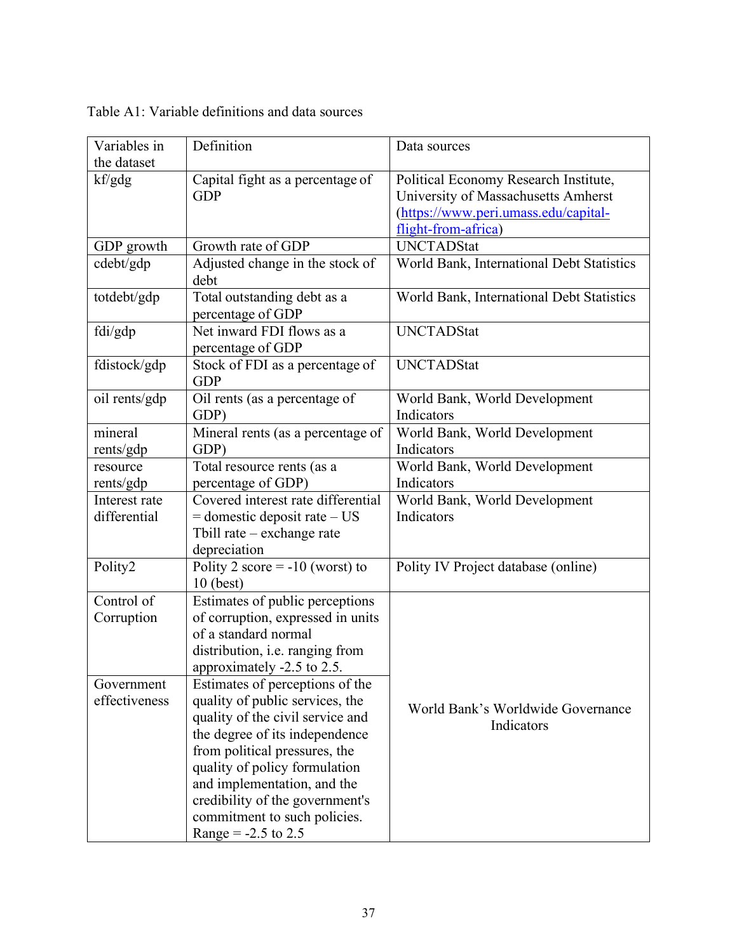Table A1: Variable definitions and data sources

| Variables in<br>the dataset                             | Definition                                                                                                                                                                                                                                                                                                | Data sources                                                                                                                                |
|---------------------------------------------------------|-----------------------------------------------------------------------------------------------------------------------------------------------------------------------------------------------------------------------------------------------------------------------------------------------------------|---------------------------------------------------------------------------------------------------------------------------------------------|
| kf/gdg                                                  | Capital fight as a percentage of<br><b>GDP</b>                                                                                                                                                                                                                                                            | Political Economy Research Institute,<br>University of Massachusetts Amherst<br>(https://www.peri.umass.edu/capital-<br>flight-from-africa) |
| GDP growth                                              | Growth rate of GDP                                                                                                                                                                                                                                                                                        | <b>UNCTADStat</b>                                                                                                                           |
| cdebt/gdp                                               | Adjusted change in the stock of<br>debt                                                                                                                                                                                                                                                                   | World Bank, International Debt Statistics                                                                                                   |
| totdebt/gdp                                             | Total outstanding debt as a<br>percentage of GDP                                                                                                                                                                                                                                                          | World Bank, International Debt Statistics                                                                                                   |
| fdi/gdp                                                 | Net inward FDI flows as a<br>percentage of GDP                                                                                                                                                                                                                                                            | <b>UNCTADStat</b>                                                                                                                           |
| fdistock/gdp                                            | Stock of FDI as a percentage of<br><b>GDP</b>                                                                                                                                                                                                                                                             | <b>UNCTADStat</b>                                                                                                                           |
| oil rents/gdp                                           | Oil rents (as a percentage of<br>GDP)                                                                                                                                                                                                                                                                     | World Bank, World Development<br>Indicators                                                                                                 |
| mineral<br>rents/gdp                                    | Mineral rents (as a percentage of<br>GDP)                                                                                                                                                                                                                                                                 | World Bank, World Development<br>Indicators                                                                                                 |
| resource<br>rents/gdp                                   | Total resource rents (as a<br>percentage of GDP)                                                                                                                                                                                                                                                          | World Bank, World Development<br>Indicators                                                                                                 |
| Interest rate<br>differential                           | Covered interest rate differential<br>$=$ domestic deposit rate $-$ US<br>Tbill rate – exchange rate<br>depreciation                                                                                                                                                                                      | World Bank, World Development<br>Indicators                                                                                                 |
| Polity2                                                 | Polity 2 score = $-10$ (worst) to<br>$10$ (best)                                                                                                                                                                                                                                                          | Polity IV Project database (online)                                                                                                         |
| Control of<br>Corruption<br>Government<br>effectiveness | Estimates of public perceptions<br>of corruption, expressed in units<br>of a standard normal<br>distribution, i.e. ranging from<br>approximately -2.5 to 2.5.<br>Estimates of perceptions of the<br>quality of public services, the<br>quality of the civil service and<br>the degree of its independence | World Bank's Worldwide Governance<br>Indicators                                                                                             |
|                                                         | from political pressures, the<br>quality of policy formulation<br>and implementation, and the<br>credibility of the government's<br>commitment to such policies.<br>Range = $-2.5$ to 2.5                                                                                                                 |                                                                                                                                             |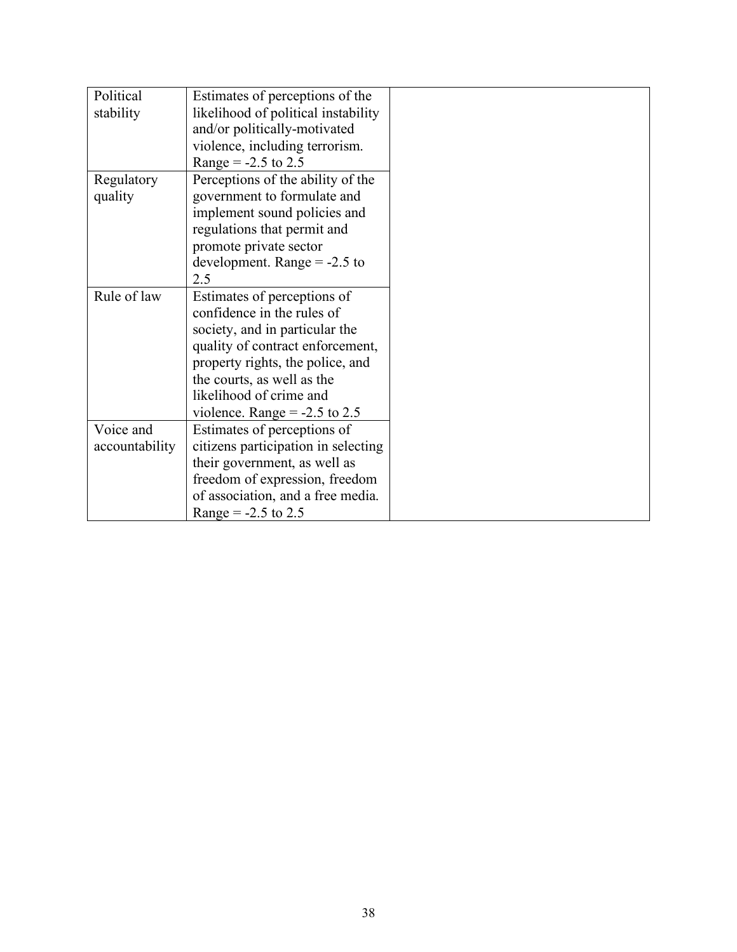| Political      | Estimates of perceptions of the     |
|----------------|-------------------------------------|
| stability      | likelihood of political instability |
|                | and/or politically-motivated        |
|                | violence, including terrorism.      |
|                | Range = $-2.5$ to 2.5               |
| Regulatory     | Perceptions of the ability of the   |
| quality        | government to formulate and         |
|                | implement sound policies and        |
|                | regulations that permit and         |
|                | promote private sector              |
|                | development. Range $= -2.5$ to      |
|                | 2.5                                 |
| Rule of law    | Estimates of perceptions of         |
|                | confidence in the rules of          |
|                | society, and in particular the      |
|                | quality of contract enforcement,    |
|                | property rights, the police, and    |
|                | the courts, as well as the          |
|                | likelihood of crime and             |
|                | violence. Range = $-2.5$ to 2.5     |
| Voice and      | Estimates of perceptions of         |
| accountability | citizens participation in selecting |
|                | their government, as well as        |
|                | freedom of expression, freedom      |
|                | of association, and a free media.   |
|                | Range = $-2.5$ to 2.5               |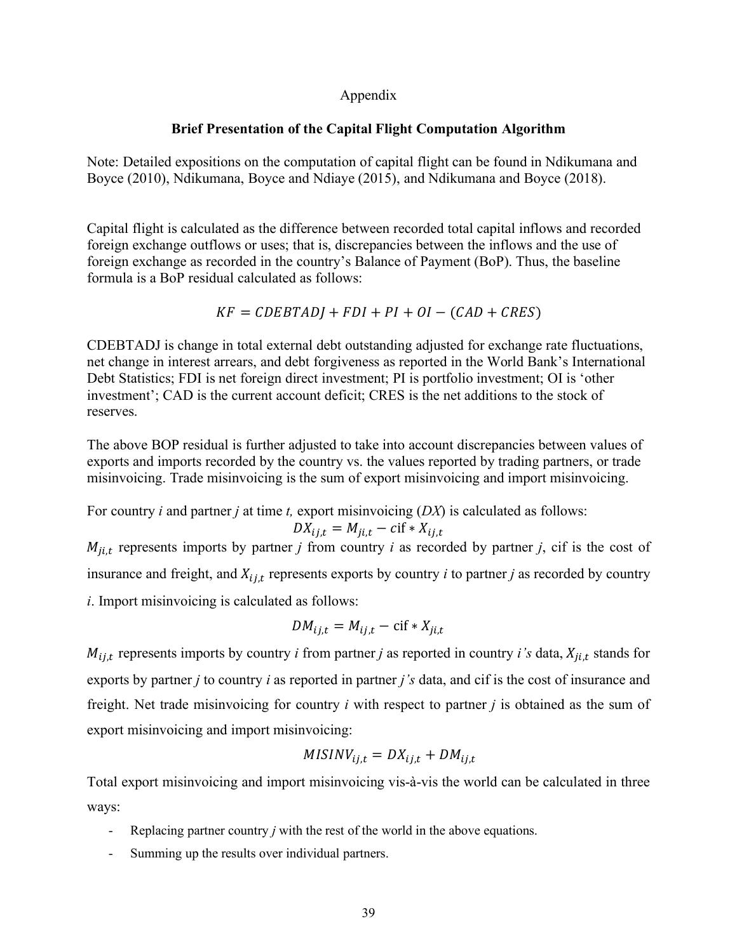#### Appendix

# **Brief Presentation of the Capital Flight Computation Algorithm**

Note: Detailed expositions on the computation of capital flight can be found in Ndikumana and Boyce (2010), Ndikumana, Boyce and Ndiaye (2015), and Ndikumana and Boyce (2018).

Capital flight is calculated as the difference between recorded total capital inflows and recorded foreign exchange outflows or uses; that is, discrepancies between the inflows and the use of foreign exchange as recorded in the country's Balance of Payment (BoP). Thus, the baseline formula is a BoP residual calculated as follows:

$$
KF = CDEBTADJ + FDI + PI + OI - (CAD + CRES)
$$

CDEBTADJ is change in total external debt outstanding adjusted for exchange rate fluctuations, net change in interest arrears, and debt forgiveness as reported in the World Bank's International Debt Statistics; FDI is net foreign direct investment; PI is portfolio investment; OI is 'other investment'; CAD is the current account deficit; CRES is the net additions to the stock of reserves.

The above BOP residual is further adjusted to take into account discrepancies between values of exports and imports recorded by the country vs. the values reported by trading partners, or trade misinvoicing. Trade misinvoicing is the sum of export misinvoicing and import misinvoicing.

For country *i* and partner *j* at time *t,* export misinvoicing (*DX*) is calculated as follows:

$$
DX_{ij,t} = M_{ji,t} - cif * X_{ij,t}
$$

 $M_{i,i,t}$  represents imports by partner *j* from country *i* as recorded by partner *j*, cif is the cost of insurance and freight, and  $X_{i,i,t}$  represents exports by country *i* to partner *j* as recorded by country

*i*. Import misinvoicing is calculated as follows:

$$
DM_{ij,t} = M_{ij,t} - \text{cif} * X_{ji,t}
$$

 $M_{i,i,t}$  represents imports by country *i* from partner *j* as reported in country *i*'s data,  $X_{i,i,t}$  stands for exports by partner *j* to country *i* as reported in partner *j's* data, and cif is the cost of insurance and freight. Net trade misinvoicing for country *i* with respect to partner *j* is obtained as the sum of export misinvoicing and import misinvoicing:

$$
MISINV_{ij,t} = DX_{ij,t} + DM_{ij,t}
$$

Total export misinvoicing and import misinvoicing vis-à-vis the world can be calculated in three ways:

- Replacing partner country *j* with the rest of the world in the above equations.
- Summing up the results over individual partners.